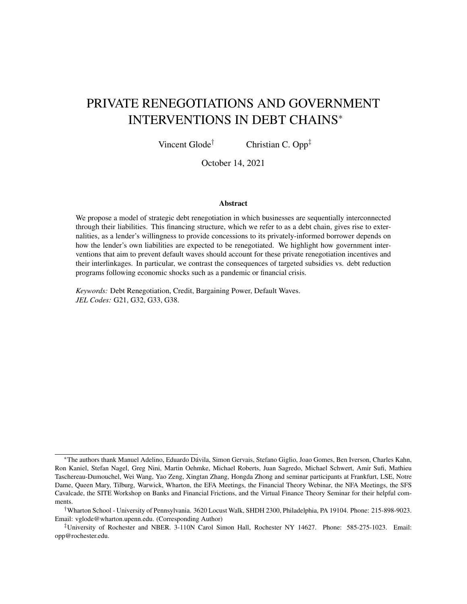# PRIVATE RENEGOTIATIONS AND GOVERNMENT INTERVENTIONS IN DEBT CHAINS<sup>∗</sup>

Vincent Glode<sup>†</sup> Christian C. Opp<sup> $\ddagger$ </sup>

October 14, 2021

#### Abstract

We propose a model of strategic debt renegotiation in which businesses are sequentially interconnected through their liabilities. This financing structure, which we refer to as a debt chain, gives rise to externalities, as a lender's willingness to provide concessions to its privately-informed borrower depends on how the lender's own liabilities are expected to be renegotiated. We highlight how government interventions that aim to prevent default waves should account for these private renegotiation incentives and their interlinkages. In particular, we contrast the consequences of targeted subsidies vs. debt reduction programs following economic shocks such as a pandemic or financial crisis.

*Keywords:* Debt Renegotiation, Credit, Bargaining Power, Default Waves. *JEL Codes:* G21, G32, G33, G38.

<sup>∗</sup>The authors thank Manuel Adelino, Eduardo Davila, Simon Gervais, Stefano Giglio, Joao Gomes, Ben Iverson, Charles Kahn, ´ Ron Kaniel, Stefan Nagel, Greg Nini, Martin Oehmke, Michael Roberts, Juan Sagredo, Michael Schwert, Amir Sufi, Mathieu Taschereau-Dumouchel, Wei Wang, Yao Zeng, Xingtan Zhang, Hongda Zhong and seminar participants at Frankfurt, LSE, Notre Dame, Queen Mary, Tilburg, Warwick, Wharton, the EFA Meetings, the Financial Theory Webinar, the NFA Meetings, the SFS Cavalcade, the SITE Workshop on Banks and Financial Frictions, and the Virtual Finance Theory Seminar for their helpful comments.

<sup>†</sup>Wharton School - University of Pennsylvania. 3620 Locust Walk, SHDH 2300, Philadelphia, PA 19104. Phone: 215-898-9023. Email: vglode@wharton.upenn.edu. (Corresponding Author)

<sup>‡</sup>University of Rochester and NBER. 3-110N Carol Simon Hall, Rochester NY 14627. Phone: 585-275-1023. Email: opp@rochester.edu.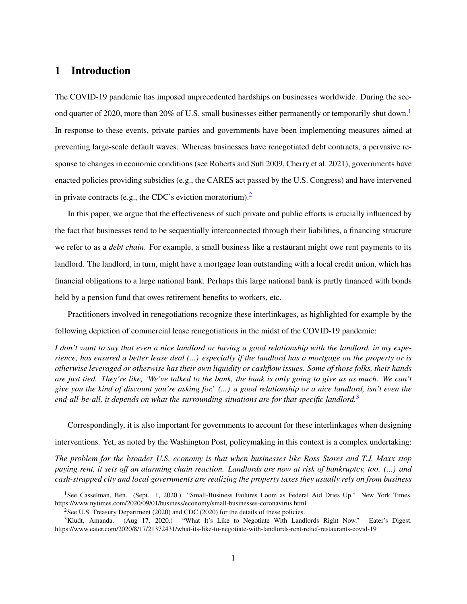### 1 Introduction

The COVID-19 pandemic has imposed unprecedented hardships on businesses worldwide. During the sec-ond quarter of 2020, more than 20% of U.S. small businesses either permanently or temporarily shut down.<sup>[1](#page-1-0)</sup> In response to these events, private parties and governments have been implementing measures aimed at preventing large-scale default waves. Whereas businesses have renegotiated debt contracts, a pervasive response to changes in economic conditions (see Roberts and Sufi 2009, Cherry et al. 2021), governments have enacted policies providing subsidies (e.g., the CARES act passed by the U.S. Congress) and have intervened in private contracts (e.g., the CDC's eviction moratorium).<sup>[2](#page-1-1)</sup>

In this paper, we argue that the effectiveness of such private and public efforts is crucially influenced by the fact that businesses tend to be sequentially interconnected through their liabilities, a financing structure we refer to as a *debt chain*. For example, a small business like a restaurant might owe rent payments to its landlord. The landlord, in turn, might have a mortgage loan outstanding with a local credit union, which has financial obligations to a large national bank. Perhaps this large national bank is partly financed with bonds held by a pension fund that owes retirement benefits to workers, etc.

Practitioners involved in renegotiations recognize these interlinkages, as highlighted for example by the following depiction of commercial lease renegotiations in the midst of the COVID-19 pandemic:

*I don't want to say that even a nice landlord or having a good relationship with the landlord, in my experience, has ensured a better lease deal (...) especially if the landlord has a mortgage on the property or is otherwise leveraged or otherwise has their own liquidity or cashflow issues. Some of those folks, their hands are just tied. They're like, 'We've talked to the bank, the bank is only going to give us as much. We can't give you the kind of discount you're asking for.' (...) a good relationship or a nice landlord, isn't even the end-all-be-all, it depends on what the surrounding situations are for that specific landlord.*[3](#page-1-2)

Correspondingly, it is also important for governments to account for these interlinkages when designing interventions. Yet, as noted by the Washington Post, policymaking in this context is a complex undertaking:

*The problem for the broader U.S. economy is that when businesses like Ross Stores and T.J. Maxx stop paying rent, it sets off an alarming chain reaction. Landlords are now at risk of bankruptcy, too. (...) and cash-strapped city and local governments are realizing the property taxes they usually rely on from business*

<span id="page-1-0"></span><sup>&</sup>lt;sup>1</sup>See Casselman, Ben. (Sept. 1, 2020.) "Small-Business Failures Loom as Federal Aid Dries Up." New York Times. https://www.nytimes.com/2020/09/01/business/economy/small-businesses-coronavirus.html

<span id="page-1-2"></span><span id="page-1-1"></span><sup>&</sup>lt;sup>2</sup>See U.S. Treasury Department (2020) and CDC (2020) for the details of these policies.

<sup>&</sup>lt;sup>3</sup>Kludt, Amanda. (Aug 17, 2020.) "What It's Like to Negotiate With Landlords Right Now." Eater's Digest. https://www.eater.com/2020/8/17/21372431/what-its-like-to-negotiate-with-landlords-rent-relief-restaurants-covid-19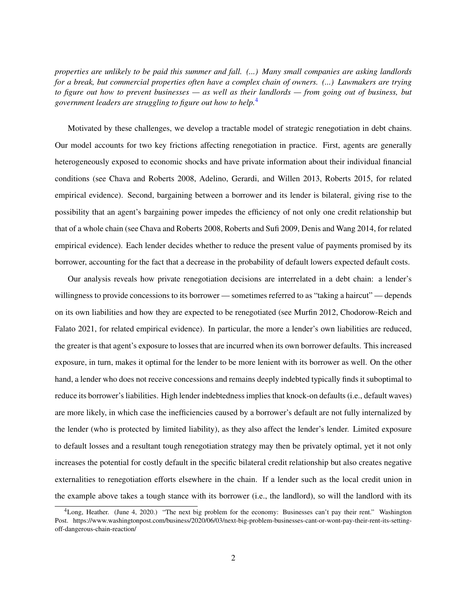*properties are unlikely to be paid this summer and fall. (...) Many small companies are asking landlords for a break, but commercial properties often have a complex chain of owners. (...) Lawmakers are trying to figure out how to prevent businesses — as well as their landlords — from going out of business, but government leaders are struggling to figure out how to help.*[4](#page-2-0)

Motivated by these challenges, we develop a tractable model of strategic renegotiation in debt chains. Our model accounts for two key frictions affecting renegotiation in practice. First, agents are generally heterogeneously exposed to economic shocks and have private information about their individual financial conditions (see Chava and Roberts 2008, Adelino, Gerardi, and Willen 2013, Roberts 2015, for related empirical evidence). Second, bargaining between a borrower and its lender is bilateral, giving rise to the possibility that an agent's bargaining power impedes the efficiency of not only one credit relationship but that of a whole chain (see Chava and Roberts 2008, Roberts and Sufi 2009, Denis and Wang 2014, for related empirical evidence). Each lender decides whether to reduce the present value of payments promised by its borrower, accounting for the fact that a decrease in the probability of default lowers expected default costs.

Our analysis reveals how private renegotiation decisions are interrelated in a debt chain: a lender's willingness to provide concessions to its borrower — sometimes referred to as "taking a haircut" — depends on its own liabilities and how they are expected to be renegotiated (see Murfin 2012, Chodorow-Reich and Falato 2021, for related empirical evidence). In particular, the more a lender's own liabilities are reduced, the greater is that agent's exposure to losses that are incurred when its own borrower defaults. This increased exposure, in turn, makes it optimal for the lender to be more lenient with its borrower as well. On the other hand, a lender who does not receive concessions and remains deeply indebted typically finds it suboptimal to reduce its borrower's liabilities. High lender indebtedness implies that knock-on defaults (i.e., default waves) are more likely, in which case the inefficiencies caused by a borrower's default are not fully internalized by the lender (who is protected by limited liability), as they also affect the lender's lender. Limited exposure to default losses and a resultant tough renegotiation strategy may then be privately optimal, yet it not only increases the potential for costly default in the specific bilateral credit relationship but also creates negative externalities to renegotiation efforts elsewhere in the chain. If a lender such as the local credit union in the example above takes a tough stance with its borrower (i.e., the landlord), so will the landlord with its

<span id="page-2-0"></span><sup>4</sup>Long, Heather. (June 4, 2020.) "The next big problem for the economy: Businesses can't pay their rent." Washington Post. https://www.washingtonpost.com/business/2020/06/03/next-big-problem-businesses-cant-or-wont-pay-their-rent-its-settingoff-dangerous-chain-reaction/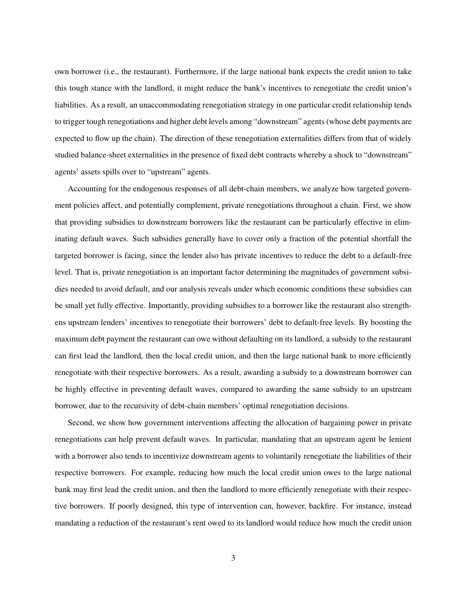own borrower (i.e., the restaurant). Furthermore, if the large national bank expects the credit union to take this tough stance with the landlord, it might reduce the bank's incentives to renegotiate the credit union's liabilities. As a result, an unaccommodating renegotiation strategy in one particular credit relationship tends to trigger tough renegotiations and higher debt levels among "downstream" agents (whose debt payments are expected to flow up the chain). The direction of these renegotiation externalities differs from that of widely studied balance-sheet externalities in the presence of fixed debt contracts whereby a shock to "downstream" agents' assets spills over to "upstream" agents.

Accounting for the endogenous responses of all debt-chain members, we analyze how targeted government policies affect, and potentially complement, private renegotiations throughout a chain. First, we show that providing subsidies to downstream borrowers like the restaurant can be particularly effective in eliminating default waves. Such subsidies generally have to cover only a fraction of the potential shortfall the targeted borrower is facing, since the lender also has private incentives to reduce the debt to a default-free level. That is, private renegotiation is an important factor determining the magnitudes of government subsidies needed to avoid default, and our analysis reveals under which economic conditions these subsidies can be small yet fully effective. Importantly, providing subsidies to a borrower like the restaurant also strengthens upstream lenders' incentives to renegotiate their borrowers' debt to default-free levels. By boosting the maximum debt payment the restaurant can owe without defaulting on its landlord, a subsidy to the restaurant can first lead the landlord, then the local credit union, and then the large national bank to more efficiently renegotiate with their respective borrowers. As a result, awarding a subsidy to a downstream borrower can be highly effective in preventing default waves, compared to awarding the same subsidy to an upstream borrower, due to the recursivity of debt-chain members' optimal renegotiation decisions.

Second, we show how government interventions affecting the allocation of bargaining power in private renegotiations can help prevent default waves. In particular, mandating that an upstream agent be lenient with a borrower also tends to incentivize downstream agents to voluntarily renegotiate the liabilities of their respective borrowers. For example, reducing how much the local credit union owes to the large national bank may first lead the credit union, and then the landlord to more efficiently renegotiate with their respective borrowers. If poorly designed, this type of intervention can, however, backfire. For instance, instead mandating a reduction of the restaurant's rent owed to its landlord would reduce how much the credit union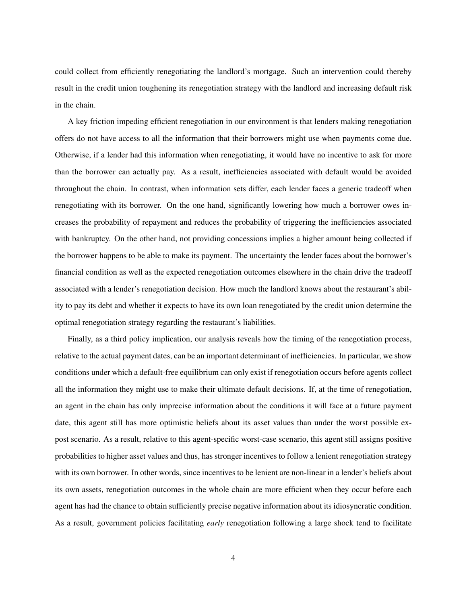could collect from efficiently renegotiating the landlord's mortgage. Such an intervention could thereby result in the credit union toughening its renegotiation strategy with the landlord and increasing default risk in the chain.

A key friction impeding efficient renegotiation in our environment is that lenders making renegotiation offers do not have access to all the information that their borrowers might use when payments come due. Otherwise, if a lender had this information when renegotiating, it would have no incentive to ask for more than the borrower can actually pay. As a result, inefficiencies associated with default would be avoided throughout the chain. In contrast, when information sets differ, each lender faces a generic tradeoff when renegotiating with its borrower. On the one hand, significantly lowering how much a borrower owes increases the probability of repayment and reduces the probability of triggering the inefficiencies associated with bankruptcy. On the other hand, not providing concessions implies a higher amount being collected if the borrower happens to be able to make its payment. The uncertainty the lender faces about the borrower's financial condition as well as the expected renegotiation outcomes elsewhere in the chain drive the tradeoff associated with a lender's renegotiation decision. How much the landlord knows about the restaurant's ability to pay its debt and whether it expects to have its own loan renegotiated by the credit union determine the optimal renegotiation strategy regarding the restaurant's liabilities.

Finally, as a third policy implication, our analysis reveals how the timing of the renegotiation process, relative to the actual payment dates, can be an important determinant of inefficiencies. In particular, we show conditions under which a default-free equilibrium can only exist if renegotiation occurs before agents collect all the information they might use to make their ultimate default decisions. If, at the time of renegotiation, an agent in the chain has only imprecise information about the conditions it will face at a future payment date, this agent still has more optimistic beliefs about its asset values than under the worst possible expost scenario. As a result, relative to this agent-specific worst-case scenario, this agent still assigns positive probabilities to higher asset values and thus, has stronger incentives to follow a lenient renegotiation strategy with its own borrower. In other words, since incentives to be lenient are non-linear in a lender's beliefs about its own assets, renegotiation outcomes in the whole chain are more efficient when they occur before each agent has had the chance to obtain sufficiently precise negative information about its idiosyncratic condition. As a result, government policies facilitating *early* renegotiation following a large shock tend to facilitate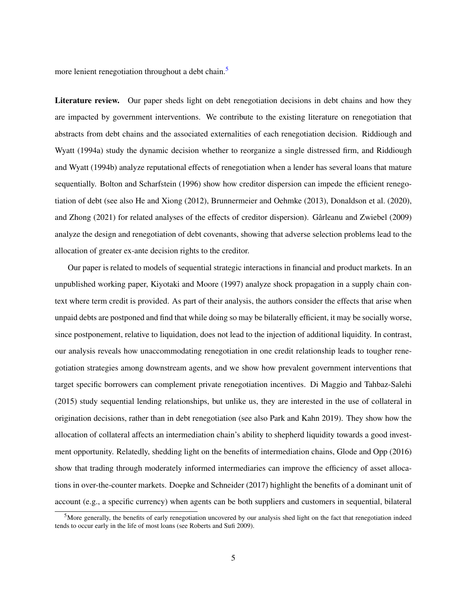more lenient renegotiation throughout a debt chain.<sup>[5](#page-5-0)</sup>

Literature review. Our paper sheds light on debt renegotiation decisions in debt chains and how they are impacted by government interventions. We contribute to the existing literature on renegotiation that abstracts from debt chains and the associated externalities of each renegotiation decision. Riddiough and Wyatt (1994a) study the dynamic decision whether to reorganize a single distressed firm, and Riddiough and Wyatt (1994b) analyze reputational effects of renegotiation when a lender has several loans that mature sequentially. Bolton and Scharfstein (1996) show how creditor dispersion can impede the efficient renegotiation of debt (see also He and Xiong (2012), Brunnermeier and Oehmke (2013), Donaldson et al. (2020), and Zhong (2021) for related analyses of the effects of creditor dispersion). Gârleanu and Zwiebel (2009) analyze the design and renegotiation of debt covenants, showing that adverse selection problems lead to the allocation of greater ex-ante decision rights to the creditor.

Our paper is related to models of sequential strategic interactions in financial and product markets. In an unpublished working paper, Kiyotaki and Moore (1997) analyze shock propagation in a supply chain context where term credit is provided. As part of their analysis, the authors consider the effects that arise when unpaid debts are postponed and find that while doing so may be bilaterally efficient, it may be socially worse, since postponement, relative to liquidation, does not lead to the injection of additional liquidity. In contrast, our analysis reveals how unaccommodating renegotiation in one credit relationship leads to tougher renegotiation strategies among downstream agents, and we show how prevalent government interventions that target specific borrowers can complement private renegotiation incentives. Di Maggio and Tahbaz-Salehi (2015) study sequential lending relationships, but unlike us, they are interested in the use of collateral in origination decisions, rather than in debt renegotiation (see also Park and Kahn 2019). They show how the allocation of collateral affects an intermediation chain's ability to shepherd liquidity towards a good investment opportunity. Relatedly, shedding light on the benefits of intermediation chains, Glode and Opp (2016) show that trading through moderately informed intermediaries can improve the efficiency of asset allocations in over-the-counter markets. Doepke and Schneider (2017) highlight the benefits of a dominant unit of account (e.g., a specific currency) when agents can be both suppliers and customers in sequential, bilateral

<span id="page-5-0"></span><sup>&</sup>lt;sup>5</sup>More generally, the benefits of early renegotiation uncovered by our analysis shed light on the fact that renegotiation indeed tends to occur early in the life of most loans (see Roberts and Sufi 2009).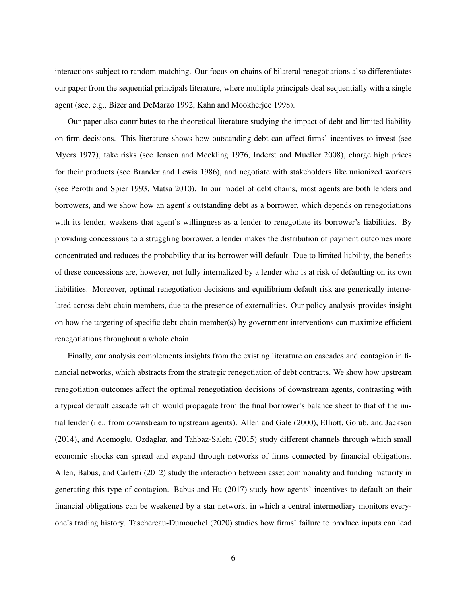interactions subject to random matching. Our focus on chains of bilateral renegotiations also differentiates our paper from the sequential principals literature, where multiple principals deal sequentially with a single agent (see, e.g., Bizer and DeMarzo 1992, Kahn and Mookherjee 1998).

Our paper also contributes to the theoretical literature studying the impact of debt and limited liability on firm decisions. This literature shows how outstanding debt can affect firms' incentives to invest (see Myers 1977), take risks (see Jensen and Meckling 1976, Inderst and Mueller 2008), charge high prices for their products (see Brander and Lewis 1986), and negotiate with stakeholders like unionized workers (see Perotti and Spier 1993, Matsa 2010). In our model of debt chains, most agents are both lenders and borrowers, and we show how an agent's outstanding debt as a borrower, which depends on renegotiations with its lender, weakens that agent's willingness as a lender to renegotiate its borrower's liabilities. By providing concessions to a struggling borrower, a lender makes the distribution of payment outcomes more concentrated and reduces the probability that its borrower will default. Due to limited liability, the benefits of these concessions are, however, not fully internalized by a lender who is at risk of defaulting on its own liabilities. Moreover, optimal renegotiation decisions and equilibrium default risk are generically interrelated across debt-chain members, due to the presence of externalities. Our policy analysis provides insight on how the targeting of specific debt-chain member(s) by government interventions can maximize efficient renegotiations throughout a whole chain.

Finally, our analysis complements insights from the existing literature on cascades and contagion in financial networks, which abstracts from the strategic renegotiation of debt contracts. We show how upstream renegotiation outcomes affect the optimal renegotiation decisions of downstream agents, contrasting with a typical default cascade which would propagate from the final borrower's balance sheet to that of the initial lender (i.e., from downstream to upstream agents). Allen and Gale (2000), Elliott, Golub, and Jackson (2014), and Acemoglu, Ozdaglar, and Tahbaz-Salehi (2015) study different channels through which small economic shocks can spread and expand through networks of firms connected by financial obligations. Allen, Babus, and Carletti (2012) study the interaction between asset commonality and funding maturity in generating this type of contagion. Babus and Hu (2017) study how agents' incentives to default on their financial obligations can be weakened by a star network, in which a central intermediary monitors everyone's trading history. Taschereau-Dumouchel (2020) studies how firms' failure to produce inputs can lead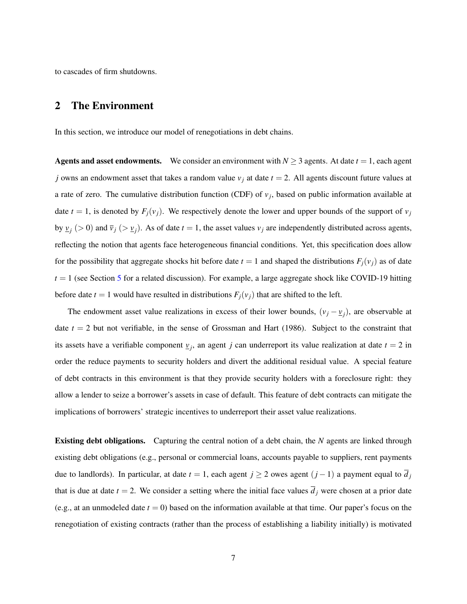to cascades of firm shutdowns.

### 2 The Environment

In this section, we introduce our model of renegotiations in debt chains.

**Agents and asset endowments.** We consider an environment with  $N \ge 3$  agents. At date  $t = 1$ , each agent *j* owns an endowment asset that takes a random value *v<sup>j</sup>* at date *t* = 2. All agents discount future values at a rate of zero. The cumulative distribution function (CDF) of  $v_j$ , based on public information available at date  $t = 1$ , is denoted by  $F_i(v_i)$ . We respectively denote the lower and upper bounds of the support of  $v_i$ by  $\underline{v}_j (>0)$  and  $\overline{v}_j (> \underline{v}_j)$ . As of date  $t = 1$ , the asset values  $v_j$  are independently distributed across agents, reflecting the notion that agents face heterogeneous financial conditions. Yet, this specification does allow for the possibility that aggregate shocks hit before date  $t = 1$  and shaped the distributions  $F_j(v_j)$  as of date  $t = 1$  (see Section [5](#page-31-0) for a related discussion). For example, a large aggregate shock like COVID-19 hitting before date  $t = 1$  would have resulted in distributions  $F_i(v_i)$  that are shifted to the left.

The endowment asset value realizations in excess of their lower bounds,  $(v_j - v_j)$ , are observable at date  $t = 2$  but not verifiable, in the sense of Grossman and Hart (1986). Subject to the constraint that its assets have a verifiable component  $v_j$ , an agent *j* can underreport its value realization at date  $t = 2$  in order the reduce payments to security holders and divert the additional residual value. A special feature of debt contracts in this environment is that they provide security holders with a foreclosure right: they allow a lender to seize a borrower's assets in case of default. This feature of debt contracts can mitigate the implications of borrowers' strategic incentives to underreport their asset value realizations.

Existing debt obligations. Capturing the central notion of a debt chain, the *N* agents are linked through existing debt obligations (e.g., personal or commercial loans, accounts payable to suppliers, rent payments due to landlords). In particular, at date  $t = 1$ , each agent  $j \ge 2$  owes agent  $(j - 1)$  a payment equal to  $\overline{d}_j$ that is due at date  $t = 2$ . We consider a setting where the initial face values  $\overline{d}_j$  were chosen at a prior date (e.g., at an unmodeled date  $t = 0$ ) based on the information available at that time. Our paper's focus on the renegotiation of existing contracts (rather than the process of establishing a liability initially) is motivated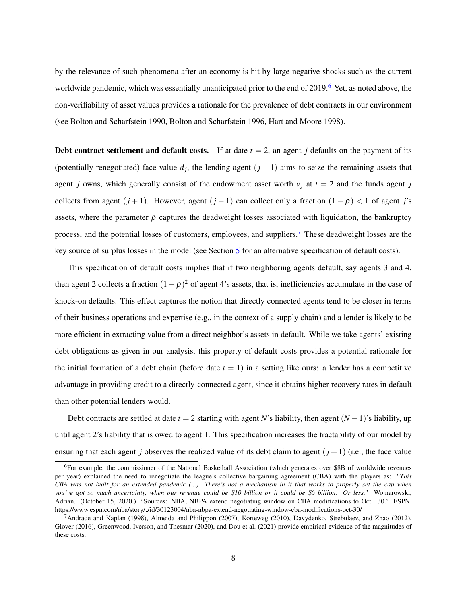by the relevance of such phenomena after an economy is hit by large negative shocks such as the current worldwide pandemic, which was essentially unanticipated prior to the end of 2019.<sup>[6](#page-8-0)</sup> Yet, as noted above, the non-verifiability of asset values provides a rationale for the prevalence of debt contracts in our environment (see Bolton and Scharfstein 1990, Bolton and Scharfstein 1996, Hart and Moore 1998).

**Debt contract settlement and default costs.** If at date  $t = 2$ , an agent *j* defaults on the payment of its (potentially renegotiated) face value  $d_j$ , the lending agent  $(j-1)$  aims to seize the remaining assets that agent *j* owns, which generally consist of the endowment asset worth  $v_j$  at  $t = 2$  and the funds agent *j* collects from agent  $(j+1)$ . However, agent  $(j-1)$  can collect only a fraction  $(1 - \rho) < 1$  of agent *j*'s assets, where the parameter  $\rho$  captures the deadweight losses associated with liquidation, the bankruptcy process, and the potential losses of customers, employees, and suppliers.[7](#page-8-1) These deadweight losses are the key source of surplus losses in the model (see Section [5](#page-31-0) for an alternative specification of default costs).

This specification of default costs implies that if two neighboring agents default, say agents 3 and 4, then agent 2 collects a fraction  $(1 - \rho)^2$  of agent 4's assets, that is, inefficiencies accumulate in the case of knock-on defaults. This effect captures the notion that directly connected agents tend to be closer in terms of their business operations and expertise (e.g., in the context of a supply chain) and a lender is likely to be more efficient in extracting value from a direct neighbor's assets in default. While we take agents' existing debt obligations as given in our analysis, this property of default costs provides a potential rationale for the initial formation of a debt chain (before date  $t = 1$ ) in a setting like ours: a lender has a competitive advantage in providing credit to a directly-connected agent, since it obtains higher recovery rates in default than other potential lenders would.

Debt contracts are settled at date *t* = 2 starting with agent *N*'s liability, then agent (*N* −1)'s liability, up until agent 2's liability that is owed to agent 1. This specification increases the tractability of our model by ensuring that each agent *j* observes the realized value of its debt claim to agent  $(j + 1)$  (i.e., the face value

<span id="page-8-0"></span><sup>6</sup>For example, the commissioner of the National Basketball Association (which generates over \$8B of worldwide revenues per year) explained the need to renegotiate the league's collective bargaining agreement (CBA) with the players as: *"This CBA was not built for an extended pandemic (...) There's not a mechanism in it that works to properly set the cap when you've got so much uncertainty, when our revenue could be* \$*10 billion or it could be* \$*6 billion. Or less."* Wojnarowski, Adrian. (October 15, 2020.) "Sources: NBA, NBPA extend negotiating window on CBA modifications to Oct. 30." ESPN. https://www.espn.com/nba/story/ /id/30123004/nba-nbpa-extend-negotiating-window-cba-modifications-oct-30/

<span id="page-8-1"></span><sup>&</sup>lt;sup>7</sup>Andrade and Kaplan (1998), Almeida and Philippon (2007), Korteweg (2010), Davydenko, Strebulaev, and Zhao (2012), Glover (2016), Greenwood, Iverson, and Thesmar (2020), and Dou et al. (2021) provide empirical evidence of the magnitudes of these costs.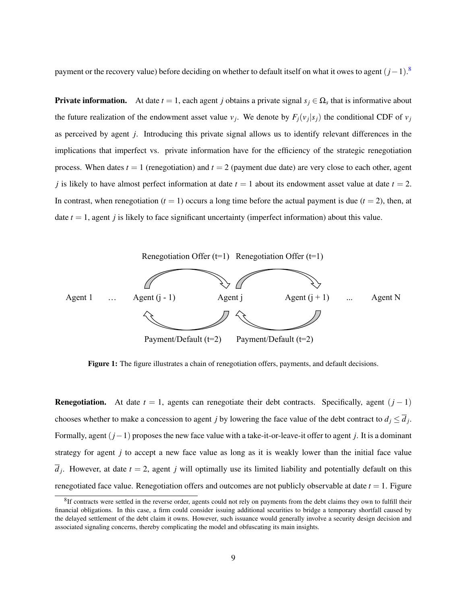payment or the recovery value) before deciding on whether to default itself on what it owes to agent (*j*−1). [8](#page-9-0)

**Private information.** At date  $t = 1$ , each agent *j* obtains a private signal  $s_j \in \Omega_s$  that is informative about the future realization of the endowment asset value  $v_j$ . We denote by  $F_j(v_j|s_j)$  the conditional CDF of  $v_j$ as perceived by agent *j*. Introducing this private signal allows us to identify relevant differences in the implications that imperfect vs. private information have for the efficiency of the strategic renegotiation process. When dates  $t = 1$  (renegotiation) and  $t = 2$  (payment due date) are very close to each other, agent *j* is likely to have almost perfect information at date  $t = 1$  about its endowment asset value at date  $t = 2$ . In contrast, when renegotiation  $(t = 1)$  occurs a long time before the actual payment is due  $(t = 2)$ , then, at date  $t = 1$ , agent *j* is likely to face significant uncertainty (imperfect information) about this value.



Figure 1: The figure illustrates a chain of renegotiation offers, payments, and default decisions.

**Renegotiation.** At date  $t = 1$ , agents can renegotiate their debt contracts. Specifically, agent  $(j - 1)$ chooses whether to make a concession to agent *j* by lowering the face value of the debt contract to  $d_j \leq d_j$ . Formally, agent (*j*−1) proposes the new face value with a take-it-or-leave-it offer to agent *j*. It is a dominant strategy for agent *j* to accept a new face value as long as it is weakly lower than the initial face value  $d_j$ . However, at date  $t = 2$ , agent *j* will optimally use its limited liability and potentially default on this renegotiated face value. Renegotiation offers and outcomes are not publicly observable at date  $t = 1$ . Figure

<span id="page-9-0"></span> ${}^{8}$ If contracts were settled in the reverse order, agents could not rely on payments from the debt claims they own to fulfill their financial obligations. In this case, a firm could consider issuing additional securities to bridge a temporary shortfall caused by the delayed settlement of the debt claim it owns. However, such issuance would generally involve a security design decision and associated signaling concerns, thereby complicating the model and obfuscating its main insights.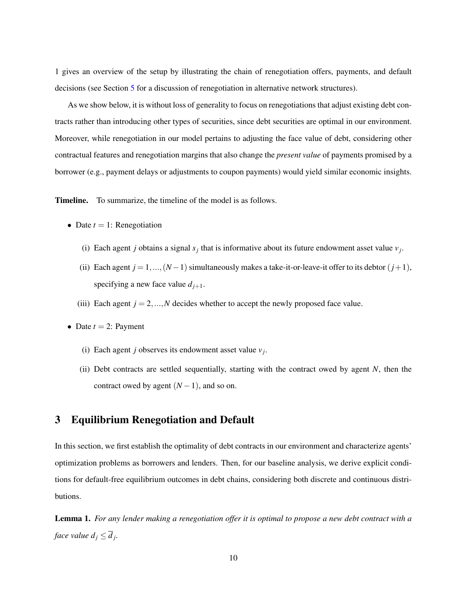1 gives an overview of the setup by illustrating the chain of renegotiation offers, payments, and default decisions (see Section [5](#page-31-0) for a discussion of renegotiation in alternative network structures).

As we show below, it is without loss of generality to focus on renegotiations that adjust existing debt contracts rather than introducing other types of securities, since debt securities are optimal in our environment. Moreover, while renegotiation in our model pertains to adjusting the face value of debt, considering other contractual features and renegotiation margins that also change the *present value* of payments promised by a borrower (e.g., payment delays or adjustments to coupon payments) would yield similar economic insights.

Timeline. To summarize, the timeline of the model is as follows.

- Date  $t = 1$ : Renegotiation
	- (i) Each agent *j* obtains a signal  $s_j$  that is informative about its future endowment asset value  $v_j$ .
	- (ii) Each agent  $j = 1, ..., (N-1)$  simultaneously makes a take-it-or-leave-it offer to its debtor  $(j+1)$ , specifying a new face value  $d_{j+1}$ .
	- (iii) Each agent  $j = 2, ..., N$  decides whether to accept the newly proposed face value.
- Date  $t = 2$ : Payment
	- (i) Each agent *j* observes its endowment asset value  $v_j$ .
	- (ii) Debt contracts are settled sequentially, starting with the contract owed by agent *N*, then the contract owed by agent  $(N-1)$ , and so on.

### <span id="page-10-0"></span>3 Equilibrium Renegotiation and Default

In this section, we first establish the optimality of debt contracts in our environment and characterize agents' optimization problems as borrowers and lenders. Then, for our baseline analysis, we derive explicit conditions for default-free equilibrium outcomes in debt chains, considering both discrete and continuous distributions.

<span id="page-10-1"></span>Lemma 1. *For any lender making a renegotiation offer it is optimal to propose a new debt contract with a face value*  $d_j \leq d_j$ *.*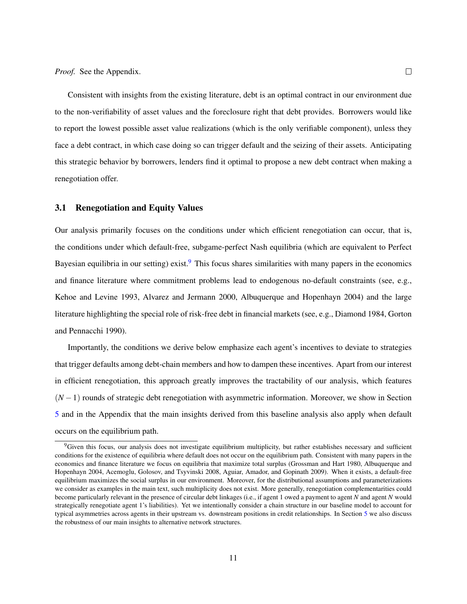Consistent with insights from the existing literature, debt is an optimal contract in our environment due to the non-verifiability of asset values and the foreclosure right that debt provides. Borrowers would like to report the lowest possible asset value realizations (which is the only verifiable component), unless they face a debt contract, in which case doing so can trigger default and the seizing of their assets. Anticipating this strategic behavior by borrowers, lenders find it optimal to propose a new debt contract when making a renegotiation offer.

#### 3.1 Renegotiation and Equity Values

Our analysis primarily focuses on the conditions under which efficient renegotiation can occur, that is, the conditions under which default-free, subgame-perfect Nash equilibria (which are equivalent to Perfect Bayesian equilibria in our setting) exist. $9$  This focus shares similarities with many papers in the economics and finance literature where commitment problems lead to endogenous no-default constraints (see, e.g., Kehoe and Levine 1993, Alvarez and Jermann 2000, Albuquerque and Hopenhayn 2004) and the large literature highlighting the special role of risk-free debt in financial markets (see, e.g., Diamond 1984, Gorton and Pennacchi 1990).

Importantly, the conditions we derive below emphasize each agent's incentives to deviate to strategies that trigger defaults among debt-chain members and how to dampen these incentives. Apart from our interest in efficient renegotiation, this approach greatly improves the tractability of our analysis, which features (*N* −1) rounds of strategic debt renegotiation with asymmetric information. Moreover, we show in Section [5](#page-31-0) and in the Appendix that the main insights derived from this baseline analysis also apply when default occurs on the equilibrium path.

<span id="page-11-0"></span><sup>&</sup>lt;sup>9</sup>Given this focus, our analysis does not investigate equilibrium multiplicity, but rather establishes necessary and sufficient conditions for the existence of equilibria where default does not occur on the equilibrium path. Consistent with many papers in the economics and finance literature we focus on equilibria that maximize total surplus (Grossman and Hart 1980, Albuquerque and Hopenhayn 2004, Acemoglu, Golosov, and Tsyvinski 2008, Aguiar, Amador, and Gopinath 2009). When it exists, a default-free equilibrium maximizes the social surplus in our environment. Moreover, for the distributional assumptions and parameterizations we consider as examples in the main text, such multiplicity does not exist. More generally, renegotiation complementarities could become particularly relevant in the presence of circular debt linkages (i.e., if agent 1 owed a payment to agent *N* and agent *N* would strategically renegotiate agent 1's liabilities). Yet we intentionally consider a chain structure in our baseline model to account for typical asymmetries across agents in their upstream vs. downstream positions in credit relationships. In Section [5](#page-31-0) we also discuss the robustness of our main insights to alternative network structures.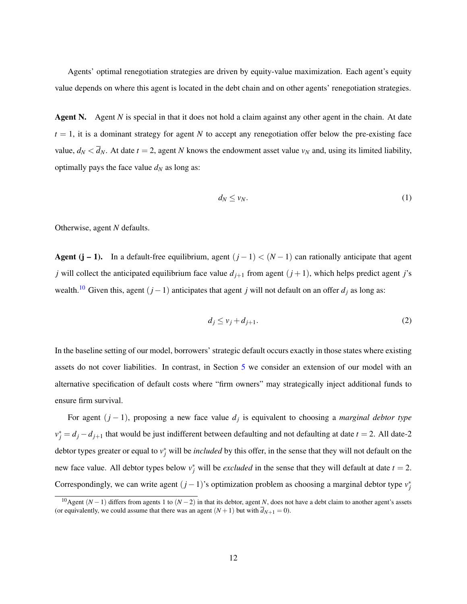Agents' optimal renegotiation strategies are driven by equity-value maximization. Each agent's equity value depends on where this agent is located in the debt chain and on other agents' renegotiation strategies.

Agent N. Agent *N* is special in that it does not hold a claim against any other agent in the chain. At date  $t = 1$ , it is a dominant strategy for agent *N* to accept any renegotiation offer below the pre-existing face value,  $d_N < \overline{d}_N$ . At date  $t = 2$ , agent *N* knows the endowment asset value  $v_N$  and, using its limited liability, optimally pays the face value  $d_N$  as long as:

$$
d_N \leq v_N. \tag{1}
$$

Otherwise, agent *N* defaults.

Agent (j – 1). In a default-free equilibrium, agent  $(j-1) < (N-1)$  can rationally anticipate that agent *j* will collect the anticipated equilibrium face value  $d_{j+1}$  from agent  $(j+1)$ , which helps predict agent *j*'s wealth.<sup>[10](#page-12-0)</sup> Given this, agent  $(j-1)$  anticipates that agent *j* will not default on an offer  $d_j$  as long as:

$$
d_j \le v_j + d_{j+1}.\tag{2}
$$

In the baseline setting of our model, borrowers' strategic default occurs exactly in those states where existing assets do not cover liabilities. In contrast, in Section [5](#page-31-0) we consider an extension of our model with an alternative specification of default costs where "firm owners" may strategically inject additional funds to ensure firm survival.

For agent (*j* − 1), proposing a new face value *d<sup>j</sup>* is equivalent to choosing a *marginal debtor type*  $v_j^* = d_j - d_{j+1}$  that would be just indifferent between defaulting and not defaulting at date  $t = 2$ . All date-2 debtor types greater or equal to  $v_j^*$  will be *included* by this offer, in the sense that they will not default on the new face value. All debtor types below  $v_j^*$  will be *excluded* in the sense that they will default at date  $t = 2$ . Correspondingly, we can write agent  $(j-1)$ 's optimization problem as choosing a marginal debtor type  $v_j^*$ 

<span id="page-12-0"></span><sup>10</sup>Agent (*N* −1) differs from agents 1 to (*N* −2) in that its debtor, agent *N*, does not have a debt claim to another agent's assets (or equivalently, we could assume that there was an agent  $(N + 1)$  but with  $\overline{d}_{N+1} = 0$ ).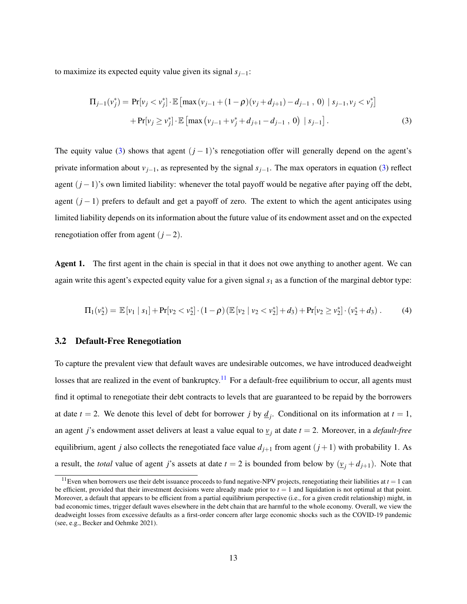to maximize its expected equity value given its signal *sj*−1:

<span id="page-13-0"></span>
$$
\Pi_{j-1}(v_j^*) = \Pr[v_j < v_j^*] \cdot \mathbb{E}\left[\max(v_{j-1} + (1-\rho)(v_j + d_{j+1}) - d_{j-1}, 0) \mid s_{j-1}, v_j < v_j^*\right] \\
+ \Pr[v_j \ge v_j^*] \cdot \mathbb{E}\left[\max(v_{j-1} + v_j^* + d_{j+1} - d_{j-1}, 0) \mid s_{j-1}\right].\n\tag{3}
$$

The equity value [\(3\)](#page-13-0) shows that agent  $(j - 1)$ 's renegotiation offer will generally depend on the agent's private information about  $v_{i-1}$ , as represented by the signal  $s_{i-1}$ . The max operators in equation [\(3\)](#page-13-0) reflect agent (*j* −1)'s own limited liability: whenever the total payoff would be negative after paying off the debt, agent (*j* − 1) prefers to default and get a payoff of zero. The extent to which the agent anticipates using limited liability depends on its information about the future value of its endowment asset and on the expected renegotiation offer from agent  $(j-2)$ .

Agent 1. The first agent in the chain is special in that it does not owe anything to another agent. We can again write this agent's expected equity value for a given signal  $s<sub>1</sub>$  as a function of the marginal debtor type:

$$
\Pi_1(v_2^*) = \mathbb{E}\left[v_1 \mid s_1\right] + \Pr[v_2 < v_2^*] \cdot (1-\rho) \left(\mathbb{E}\left[v_2 \mid v_2 < v_2^*\right] + d_3\right) + \Pr[v_2 \geq v_2^*] \cdot (v_2^* + d_3) \,. \tag{4}
$$

#### 3.2 Default-Free Renegotiation

To capture the prevalent view that default waves are undesirable outcomes, we have introduced deadweight losses that are realized in the event of bankruptcy.<sup>[11](#page-13-1)</sup> For a default-free equilibrium to occur, all agents must find it optimal to renegotiate their debt contracts to levels that are guaranteed to be repaid by the borrowers at date  $t = 2$ . We denote this level of debt for borrower *j* by  $\underline{d}_j$ . Conditional on its information at  $t = 1$ , an agent *j*'s endowment asset delivers at least a value equal to *v<sup>j</sup>* at date *t* = 2. Moreover, in a *default-free* equilibrium, agent *j* also collects the renegotiated face value  $d_{j+1}$  from agent  $(j+1)$  with probability 1. As a result, the *total* value of agent *j*'s assets at date  $t = 2$  is bounded from below by  $(\underline{v}_j + d_{j+1})$ . Note that

<span id="page-13-1"></span><sup>&</sup>lt;sup>11</sup>Even when borrowers use their debt issuance proceeds to fund negative-NPV projects, renegotiating their liabilities at  $t = 1$  can be efficient, provided that their investment decisions were already made prior to  $t = 1$  and liquidation is not optimal at that point. Moreover, a default that appears to be efficient from a partial equilibrium perspective (i.e., for a given credit relationship) might, in bad economic times, trigger default waves elsewhere in the debt chain that are harmful to the whole economy. Overall, we view the deadweight losses from excessive defaults as a first-order concern after large economic shocks such as the COVID-19 pandemic (see, e.g., Becker and Oehmke 2021).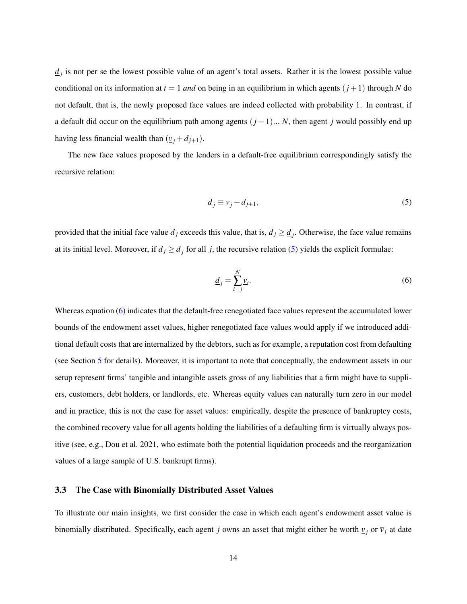$\frac{d}{dt}$  is not per se the lowest possible value of an agent's total assets. Rather it is the lowest possible value conditional on its information at  $t = 1$  *and* on being in an equilibrium in which agents  $(j + 1)$  through *N* do not default, that is, the newly proposed face values are indeed collected with probability 1. In contrast, if a default did occur on the equilibrium path among agents  $(j+1)...N$ , then agent *j* would possibly end up having less financial wealth than  $(\underline{v}_i + d_{j+1})$ .

The new face values proposed by the lenders in a default-free equilibrium correspondingly satisfy the recursive relation:

<span id="page-14-0"></span>
$$
\underline{d}_j \equiv \underline{v}_j + d_{j+1},\tag{5}
$$

provided that the initial face value  $\overline{d}_j$  exceeds this value, that is,  $\overline{d}_j \ge \underline{d}_j$ . Otherwise, the face value remains at its initial level. Moreover, if  $d_j \geq \underline{d}_j$  for all *j*, the recursive relation [\(5\)](#page-14-0) yields the explicit formulae:

<span id="page-14-1"></span>
$$
\underline{d}_j = \sum_{i=j}^N \underline{v}_i. \tag{6}
$$

Whereas equation [\(6\)](#page-14-1) indicates that the default-free renegotiated face values represent the accumulated lower bounds of the endowment asset values, higher renegotiated face values would apply if we introduced additional default costs that are internalized by the debtors, such as for example, a reputation cost from defaulting (see Section [5](#page-31-0) for details). Moreover, it is important to note that conceptually, the endowment assets in our setup represent firms' tangible and intangible assets gross of any liabilities that a firm might have to suppliers, customers, debt holders, or landlords, etc. Whereas equity values can naturally turn zero in our model and in practice, this is not the case for asset values: empirically, despite the presence of bankruptcy costs, the combined recovery value for all agents holding the liabilities of a defaulting firm is virtually always positive (see, e.g., Dou et al. 2021, who estimate both the potential liquidation proceeds and the reorganization values of a large sample of U.S. bankrupt firms).

#### <span id="page-14-2"></span>3.3 The Case with Binomially Distributed Asset Values

To illustrate our main insights, we first consider the case in which each agent's endowment asset value is binomially distributed. Specifically, each agent *j* owns an asset that might either be worth  $v_j$  or  $\bar{v}_j$  at date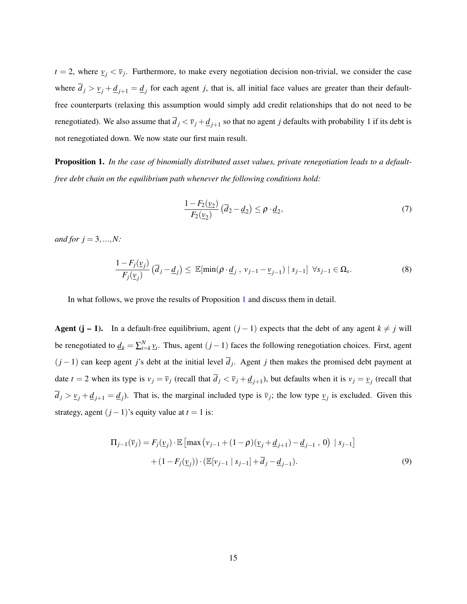$t = 2$ , where  $\nu_j < \overline{\nu}_j$ . Furthermore, to make every negotiation decision non-trivial, we consider the case where  $d_j > v_j + d_{j+1} = d_j$  for each agent *j*, that is, all initial face values are greater than their defaultfree counterparts (relaxing this assumption would simply add credit relationships that do not need to be renegotiated). We also assume that  $d_j < \bar{v}_j + \underline{d}_{j+1}$  so that no agent *j* defaults with probability 1 if its debt is not renegotiated down. We now state our first main result.

<span id="page-15-0"></span>Proposition 1. *In the case of binomially distributed asset values, private renegotiation leads to a defaultfree debt chain on the equilibrium path whenever the following conditions hold:*

<span id="page-15-2"></span><span id="page-15-1"></span>
$$
\frac{1 - F_2(\underline{v}_2)}{F_2(\underline{v}_2)} \left(\overline{d}_2 - \underline{d}_2\right) \le \rho \cdot \underline{d}_2,\tag{7}
$$

*and for*  $j = 3, ..., N$ :

$$
\frac{1 - F_j(\underline{v}_j)}{F_j(\underline{v}_j)} \left( \overline{d}_j - \underline{d}_j \right) \le \ \mathbb{E}[\min(\rho \cdot \underline{d}_j, \ v_{j-1} - \underline{v}_{j-1}) \ | \ s_{j-1}] \ \forall s_{j-1} \in \Omega_s. \tag{8}
$$

In what follows, we prove the results of Proposition [1](#page-15-0) and discuss them in detail.

Agent (j – 1). In a default-free equilibrium, agent  $(j - 1)$  expects that the debt of any agent  $k \neq j$  will be renegotiated to  $\underline{d}_k = \sum_{i=k}^N \underline{v}_i$ . Thus, agent  $(j-1)$  faces the following renegotiation choices. First, agent  $(j-1)$  can keep agent *j*'s debt at the initial level  $d_j$ . Agent *j* then makes the promised debt payment at date  $t = 2$  when its type is  $v_j = \overline{v}_j$  (recall that  $\overline{d}_j < \overline{v}_j + \underline{d}_{j+1}$ ), but defaults when it is  $v_j = v_j$  (recall that  $d_j > v_j + d_{j+1} = d_j$ ). That is, the marginal included type is  $\overline{v}_j$ ; the low type  $v_j$  is excluded. Given this strategy, agent  $(j - 1)$ 's equity value at  $t = 1$  is:

$$
\Pi_{j-1}(\bar{v}_j) = F_j(\underline{v}_j) \cdot \mathbb{E} \left[ \max \left( v_{j-1} + (1 - \rho)(\underline{v}_j + \underline{d}_{j+1}) - \underline{d}_{j-1} \right), 0 \right) | s_{j-1} \right] + (1 - F_j(\underline{v}_j)) \cdot (\mathbb{E}[v_{j-1} | s_{j-1}] + \overline{d}_j - \underline{d}_{j-1}).
$$
\n(9)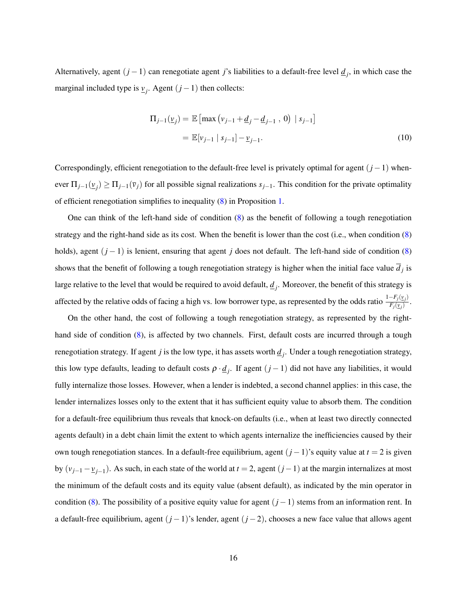Alternatively, agent  $(j-1)$  can renegotiate agent *j*'s liabilities to a default-free level  $\underline{d}_j$ , in which case the marginal included type is  $v_j$ . Agent  $(j-1)$  then collects:

$$
\Pi_{j-1}(\underline{v}_j) = \mathbb{E}\left[\max\left(v_{j-1} + \underline{d}_j - \underline{d}_{j-1}, 0\right) \mid s_{j-1}\right]
$$
  
=  $\mathbb{E}[v_{j-1} \mid s_{j-1}] - \underline{v}_{j-1}.$  (10)

Correspondingly, efficient renegotiation to the default-free level is privately optimal for agent (*j*−1) whenever  $\Pi_{j-1}(\underline{v}_j) \ge \Pi_{j-1}(\overline{v}_j)$  for all possible signal realizations  $s_{j-1}$ . This condition for the private optimality of efficient renegotiation simplifies to inequality [\(8\)](#page-15-1) in Proposition [1.](#page-15-0)

One can think of the left-hand side of condition [\(8\)](#page-15-1) as the benefit of following a tough renegotiation strategy and the right-hand side as its cost. When the benefit is lower than the cost (i.e., when condition [\(8\)](#page-15-1) holds), agent (*j* − 1) is lenient, ensuring that agent *j* does not default. The left-hand side of condition [\(8\)](#page-15-1) shows that the benefit of following a tough renegotiation strategy is higher when the initial face value  $d_j$  is large relative to the level that would be required to avoid default,  $\underline{d}_j$ . Moreover, the benefit of this strategy is affected by the relative odds of facing a high vs. low borrower type, as represented by the odds ratio  $\frac{1-F_j(y_j)}{F_j(y_j)}$  $\frac{F_j(\underline{v}_j)}{F_j(\underline{v}_j)}$ .

On the other hand, the cost of following a tough renegotiation strategy, as represented by the right-hand side of condition [\(8\)](#page-15-1), is affected by two channels. First, default costs are incurred through a tough renegotiation strategy. If agent *j* is the low type, it has assets worth  $\underline{d}_j$ . Under a tough renegotiation strategy, this low type defaults, leading to default costs  $\rho \cdot \underline{d}_j$ . If agent  $(j-1)$  did not have any liabilities, it would fully internalize those losses. However, when a lender is indebted, a second channel applies: in this case, the lender internalizes losses only to the extent that it has sufficient equity value to absorb them. The condition for a default-free equilibrium thus reveals that knock-on defaults (i.e., when at least two directly connected agents default) in a debt chain limit the extent to which agents internalize the inefficiencies caused by their own tough renegotiation stances. In a default-free equilibrium, agent (*j* −1)'s equity value at *t* = 2 is given by (*vj*−<sup>1</sup> −*vj*−<sup>1</sup> ). As such, in each state of the world at *t* = 2, agent (*j*−1) at the margin internalizes at most the minimum of the default costs and its equity value (absent default), as indicated by the min operator in condition [\(8\)](#page-15-1). The possibility of a positive equity value for agent (*j* −1) stems from an information rent. In a default-free equilibrium, agent (*j* −1)'s lender, agent (*j* −2), chooses a new face value that allows agent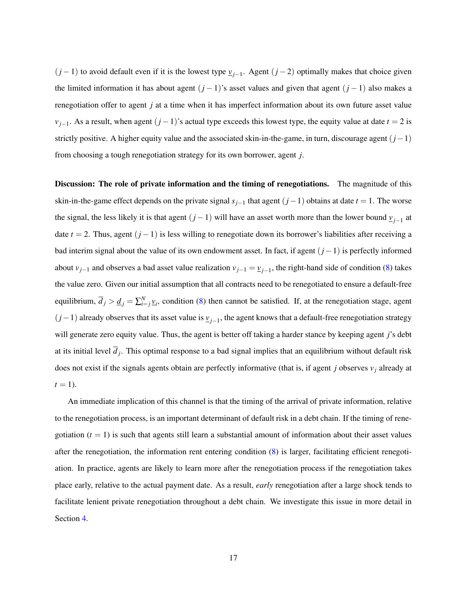(*j* −1) to avoid default even if it is the lowest type *vj*−<sup>1</sup> . Agent (*j* −2) optimally makes that choice given the limited information it has about agent (*j* − 1)'s asset values and given that agent (*j* − 1) also makes a renegotiation offer to agent *j* at a time when it has imperfect information about its own future asset value  $v_{i-1}$ . As a result, when agent  $(j-1)$ 's actual type exceeds this lowest type, the equity value at date  $t = 2$  is strictly positive. A higher equity value and the associated skin-in-the-game, in turn, discourage agent (*j*−1) from choosing a tough renegotiation strategy for its own borrower, agent *j*.

Discussion: The role of private information and the timing of renegotiations. The magnitude of this skin-in-the-game effect depends on the private signal  $s_{j-1}$  that agent  $(j-1)$  obtains at date  $t = 1$ . The worse the signal, the less likely it is that agent  $(j-1)$  will have an asset worth more than the lower bound  $\underline{v}_{j-1}$  at date  $t = 2$ . Thus, agent  $(j - 1)$  is less willing to renegotiate down its borrower's liabilities after receiving a bad interim signal about the value of its own endowment asset. In fact, if agent (*j*−1) is perfectly informed about  $v_{j-1}$  and observes a bad asset value realization  $v_{j-1} = v_{j-1}$ , the right-hand side of condition [\(8\)](#page-15-1) takes the value zero. Given our initial assumption that all contracts need to be renegotiated to ensure a default-free equilibrium,  $\overline{d}_j > \underline{d}_j = \sum_{i=j}^N \underline{v}_i$ , condition [\(8\)](#page-15-1) then cannot be satisfied. If, at the renegotiation stage, agent (*j*−1) already observes that its asset value is *vj*−<sup>1</sup> , the agent knows that a default-free renegotiation strategy will generate zero equity value. Thus, the agent is better off taking a harder stance by keeping agent *j*'s debt at its initial level  $d_j$ . This optimal response to a bad signal implies that an equilibrium without default risk does not exist if the signals agents obtain are perfectly informative (that is, if agent *j* observes *v<sup>j</sup>* already at  $t=1$ ).

An immediate implication of this channel is that the timing of the arrival of private information, relative to the renegotiation process, is an important determinant of default risk in a debt chain. If the timing of renegotiation  $(t = 1)$  is such that agents still learn a substantial amount of information about their asset values after the renegotiation, the information rent entering condition [\(8\)](#page-15-1) is larger, facilitating efficient renegotiation. In practice, agents are likely to learn more after the renegotiation process if the renegotiation takes place early, relative to the actual payment date. As a result, *early* renegotiation after a large shock tends to facilitate lenient private renegotiation throughout a debt chain. We investigate this issue in more detail in Section [4.](#page-22-0)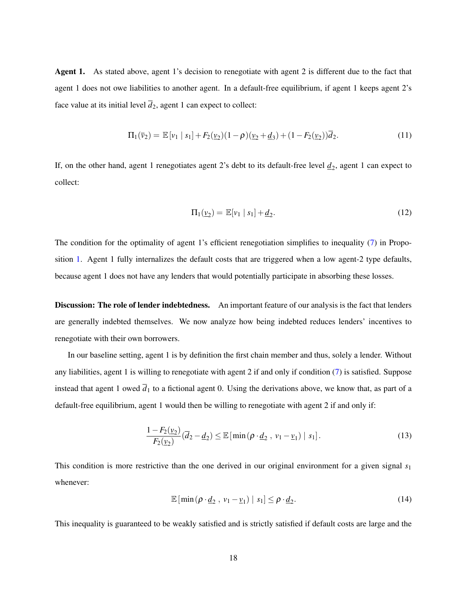Agent 1. As stated above, agent 1's decision to renegotiate with agent 2 is different due to the fact that agent 1 does not owe liabilities to another agent. In a default-free equilibrium, if agent 1 keeps agent 2's face value at its initial level  $\overline{d}_2$ , agent 1 can expect to collect:

$$
\Pi_1(\bar{v}_2) = \mathbb{E}[v_1 | s_1] + F_2(\underline{v}_2)(1-\rho)(\underline{v}_2 + \underline{d}_3) + (1 - F_2(\underline{v}_2))\overline{d}_2.
$$
\n(11)

If, on the other hand, agent 1 renegotiates agent 2's debt to its default-free level  $\underline{d}_2$ , agent 1 can expect to collect:

$$
\Pi_1(\underline{v}_2) = \mathbb{E}[v_1 \mid s_1] + \underline{d}_2. \tag{12}
$$

The condition for the optimality of agent 1's efficient renegotiation simplifies to inequality [\(7\)](#page-15-2) in Proposition [1.](#page-15-0) Agent 1 fully internalizes the default costs that are triggered when a low agent-2 type defaults, because agent 1 does not have any lenders that would potentially participate in absorbing these losses.

**Discussion: The role of lender indebtedness.** An important feature of our analysis is the fact that lenders are generally indebted themselves. We now analyze how being indebted reduces lenders' incentives to renegotiate with their own borrowers.

In our baseline setting, agent 1 is by definition the first chain member and thus, solely a lender. Without any liabilities, agent 1 is willing to renegotiate with agent 2 if and only if condition [\(7\)](#page-15-2) is satisfied. Suppose instead that agent 1 owed  $\bar{d}_1$  to a fictional agent 0. Using the derivations above, we know that, as part of a default-free equilibrium, agent 1 would then be willing to renegotiate with agent 2 if and only if:

$$
\frac{1-F_2(\underline{v}_2)}{F_2(\underline{v}_2)}(\overline{d}_2-\underline{d}_2)\leq \mathbb{E}\left[\min\left(\rho\cdot\underline{d}_2\,,\,\nu_1-\underline{\nu}_1\right)\mid s_1\right].\tag{13}
$$

This condition is more restrictive than the one derived in our original environment for a given signal *s*<sup>1</sup> whenever:

$$
\mathbb{E}\left[\min\left(\rho \cdot \underline{d}_2 \,,\, v_1 - \underline{v}_1\right) \mid s_1\right] \leq \rho \cdot \underline{d}_2. \tag{14}
$$

This inequality is guaranteed to be weakly satisfied and is strictly satisfied if default costs are large and the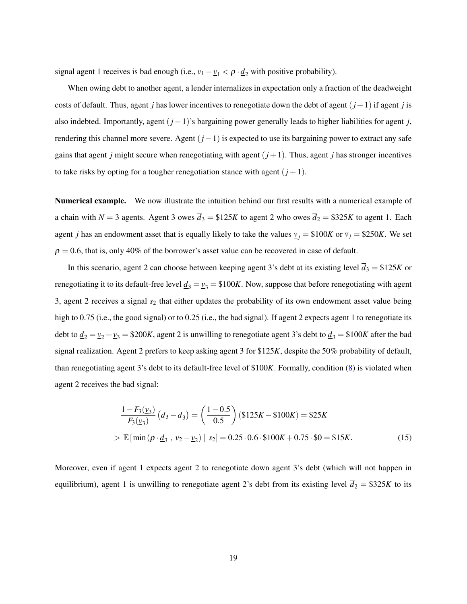signal agent 1 receives is bad enough (i.e.,  $v_1 - v_1 < \rho \cdot \underline{d}_2$  with positive probability).

When owing debt to another agent, a lender internalizes in expectation only a fraction of the deadweight costs of default. Thus, agent *j* has lower incentives to renegotiate down the debt of agent  $(j+1)$  if agent *j* is also indebted. Importantly, agent (*j* −1)'s bargaining power generally leads to higher liabilities for agent *j*, rendering this channel more severe. Agent (*j*−1) is expected to use its bargaining power to extract any safe gains that agent *j* might secure when renegotiating with agent  $(j+1)$ . Thus, agent *j* has stronger incentives to take risks by opting for a tougher renegotiation stance with agent  $(j + 1)$ .

Numerical example. We now illustrate the intuition behind our first results with a numerical example of a chain with *N* = 3 agents. Agent 3 owes  $\overline{d}_3 = $125K$  to agent 2 who owes  $\overline{d}_2 = $325K$  to agent 1. Each agent *j* has an endowment asset that is equally likely to take the values  $v_j = \$100K$  or  $\bar{v}_j = \$250K$ . We set  $\rho = 0.6$ , that is, only 40% of the borrower's asset value can be recovered in case of default.

In this scenario, agent 2 can choose between keeping agent 3's debt at its existing level  $\bar{d}_3 = $125K$  or renegotiating it to its default-free level  $\underline{d}_3 = \underline{v}_3 = $100K$ . Now, suppose that before renegotiating with agent 3, agent 2 receives a signal *s*<sup>2</sup> that either updates the probability of its own endowment asset value being high to 0.75 (i.e., the good signal) or to 0.25 (i.e., the bad signal). If agent 2 expects agent 1 to renegotiate its debt to  $\underline{d}_2 = \underline{v}_2 + \underline{v}_3 = $200K$ , agent 2 is unwilling to renegotiate agent 3's debt to  $\underline{d}_3 = $100K$  after the bad signal realization. Agent 2 prefers to keep asking agent 3 for \$125*K*, despite the 50% probability of default, than renegotiating agent 3's debt to its default-free level of \$100*K*. Formally, condition [\(8\)](#page-15-1) is violated when agent 2 receives the bad signal:

$$
\frac{1 - F_3(\underline{v}_3)}{F_3(\underline{v}_3)} (\overline{d}_3 - \underline{d}_3) = \left(\frac{1 - 0.5}{0.5}\right) (\$125K - \$100K) = \$25K
$$
  
>  $\mathbb{E}[\min(\rho \cdot \underline{d}_3, \nu_2 - \underline{v}_2) | s_2] = 0.25 \cdot 0.6 \cdot \$100K + 0.75 \cdot \$0 = \$15K.$  (15)

Moreover, even if agent 1 expects agent 2 to renegotiate down agent 3's debt (which will not happen in equilibrium), agent 1 is unwilling to renegotiate agent 2's debt from its existing level  $\overline{d}_2 = $325K$  to its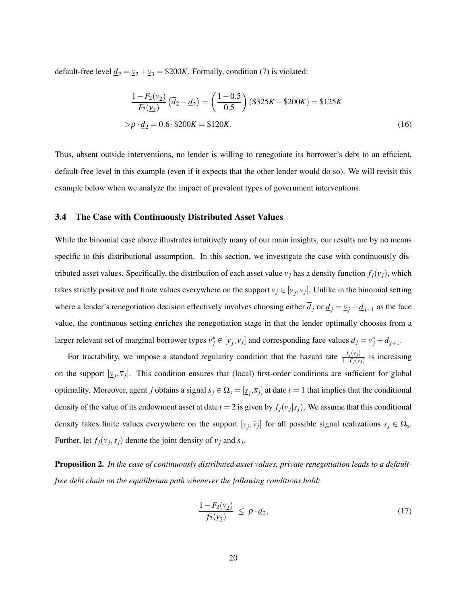default-free level  $\underline{d}_2 = \underline{v}_2 + \underline{v}_3 = $200K$ . Formally, condition [\(7\)](#page-15-2) is violated:

$$
\frac{1 - F_2(\nu_2)}{F_2(\nu_2)} (\overline{d}_2 - \underline{d}_2) = \left(\frac{1 - 0.5}{0.5}\right) (\$325K - \$200K) = \$125K
$$
  
>  $\rho \cdot \underline{d}_2 = 0.6 \cdot \$200K = \$120K.$  (16)

Thus, absent outside interventions, no lender is willing to renegotiate its borrower's debt to an efficient, default-free level in this example (even if it expects that the other lender would do so). We will revisit this example below when we analyze the impact of prevalent types of government interventions.

#### 3.4 The Case with Continuously Distributed Asset Values

While the binomial case above illustrates intuitively many of our main insights, our results are by no means specific to this distributional assumption. In this section, we investigate the case with continuously distributed asset values. Specifically, the distribution of each asset value  $v_j$  has a density function  $f_j(v_j)$ , which takes strictly positive and finite values everywhere on the support  $v_j \in [\underline{v}_j, \overline{v}_j]$ . Unlike in the binomial setting where a lender's renegotiation decision effectively involves choosing either  $d_j$  or  $\underline{d}_j = \underline{v}_j + \underline{d}_{j+1}$  as the face value, the continuous setting enriches the renegotiation stage in that the lender optimally chooses from a larger relevant set of marginal borrower types  $v_j^* \in [\underline{v}_j, \overline{v}_j]$  and corresponding face values  $d_j = v_j^* + \underline{d}_{j+1}$ .

For tractability, we impose a standard regularity condition that the hazard rate  $\frac{f_j(v_j)}{1-F_j(v_j)}$  is increasing on the support  $[\underline{v}_j, \overline{v}_j]$ . This condition ensures that (local) first-order conditions are sufficient for global optimality. Moreover, agent *j* obtains a signal  $s_j \in \Omega_s = [s_j, \bar{s}_j]$  at date  $t = 1$  that implies that the conditional density of the value of its endowment asset at date  $t = 2$  is given by  $f_j(v_j|s_j)$ . We assume that this conditional density takes finite values everywhere on the support  $[\underline{v}_j, \overline{v}_j]$  for all possible signal realizations  $s_j \in \Omega_s$ . Further, let  $f_j(v_j, s_j)$  denote the joint density of  $v_j$  and  $s_j$ .

<span id="page-20-0"></span>Proposition 2. *In the case of continuously distributed asset values, private renegotiation leads to a defaultfree debt chain on the equilibrium path whenever the following conditions hold:*

<span id="page-20-1"></span>
$$
\frac{1-F_2(\underline{v}_2)}{f_2(\underline{v}_2)} \leq \rho \cdot \underline{d}_2,\tag{17}
$$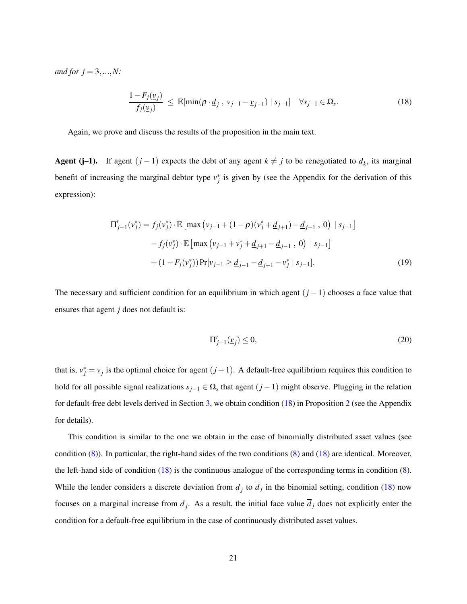*and for*  $j = 3, ..., N$ :

<span id="page-21-0"></span>
$$
\frac{1 - F_j(\underline{v}_j)}{f_j(\underline{v}_j)} \le \mathbb{E}[\min(\rho \cdot \underline{d}_j, v_{j-1} - \underline{v}_{j-1}) | s_{j-1}] \quad \forall s_{j-1} \in \Omega_s.
$$
\n(18)

Again, we prove and discuss the results of the proposition in the main text.

Agent (j–1). If agent  $(j-1)$  expects the debt of any agent  $k \neq j$  to be renegotiated to  $\underline{d}_k$ , its marginal benefit of increasing the marginal debtor type  $v_j^*$  is given by (see the Appendix for the derivation of this expression):

$$
\Pi'_{j-1}(\nu_j^*) = f_j(\nu_j^*) \cdot \mathbb{E} \left[ \max \left( \nu_{j-1} + (1 - \rho)(\nu_j^* + \underline{d}_{j+1}) - \underline{d}_{j-1} \right), 0 \right) \mid s_{j-1} \right]
$$
  
-  $f_j(\nu_j^*) \cdot \mathbb{E} \left[ \max \left( \nu_{j-1} + \nu_j^* + \underline{d}_{j+1} - \underline{d}_{j-1} \right), 0 \right) \mid s_{j-1} \right]$   
+  $(1 - F_j(\nu_j^*)) \Pr[\nu_{j-1} \ge \underline{d}_{j-1} - \underline{d}_{j+1} - \nu_j^* \mid s_{j-1}].$  (19)

The necessary and sufficient condition for an equilibrium in which agent (*j* −1) chooses a face value that ensures that agent *j* does not default is:

<span id="page-21-1"></span>
$$
\Pi'_{j-1}(\underline{v}_j) \le 0,\tag{20}
$$

that is,  $v_j^* = v_j$  is the optimal choice for agent  $(j-1)$ . A default-free equilibrium requires this condition to hold for all possible signal realizations *sj*−<sup>1</sup> ∈ Ω*<sup>s</sup>* that agent (*j* −1) might observe. Plugging in the relation for default-free debt levels derived in Section [3,](#page-10-0) we obtain condition [\(18\)](#page-21-0) in Proposition [2](#page-20-0) (see the Appendix for details).

This condition is similar to the one we obtain in the case of binomially distributed asset values (see condition [\(8\)](#page-15-1)). In particular, the right-hand sides of the two conditions [\(8\)](#page-15-1) and [\(18\)](#page-21-0) are identical. Moreover, the left-hand side of condition [\(18\)](#page-21-0) is the continuous analogue of the corresponding terms in condition [\(8\)](#page-15-1). While the lender considers a discrete deviation from  $\underline{d}_j$  to  $\overline{d}_j$  in the binomial setting, condition [\(18\)](#page-21-0) now focuses on a marginal increase from  $\underline{d}_j$ . As a result, the initial face value  $d_j$  does not explicitly enter the condition for a default-free equilibrium in the case of continuously distributed asset values.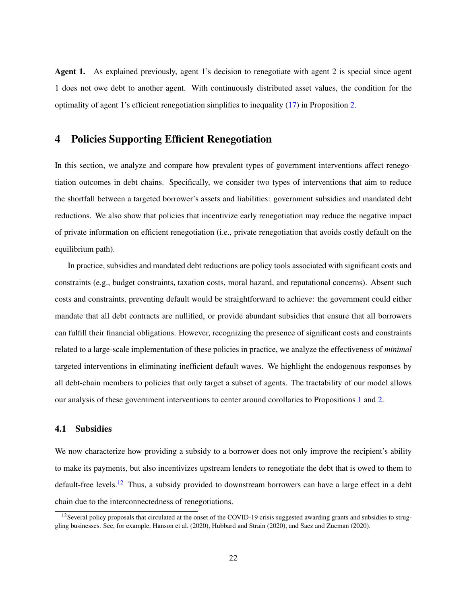Agent 1. As explained previously, agent 1's decision to renegotiate with agent 2 is special since agent 1 does not owe debt to another agent. With continuously distributed asset values, the condition for the optimality of agent 1's efficient renegotiation simplifies to inequality [\(17\)](#page-20-1) in Proposition [2.](#page-20-0)

# <span id="page-22-0"></span>4 Policies Supporting Efficient Renegotiation

In this section, we analyze and compare how prevalent types of government interventions affect renegotiation outcomes in debt chains. Specifically, we consider two types of interventions that aim to reduce the shortfall between a targeted borrower's assets and liabilities: government subsidies and mandated debt reductions. We also show that policies that incentivize early renegotiation may reduce the negative impact of private information on efficient renegotiation (i.e., private renegotiation that avoids costly default on the equilibrium path).

In practice, subsidies and mandated debt reductions are policy tools associated with significant costs and constraints (e.g., budget constraints, taxation costs, moral hazard, and reputational concerns). Absent such costs and constraints, preventing default would be straightforward to achieve: the government could either mandate that all debt contracts are nullified, or provide abundant subsidies that ensure that all borrowers can fulfill their financial obligations. However, recognizing the presence of significant costs and constraints related to a large-scale implementation of these policies in practice, we analyze the effectiveness of *minimal* targeted interventions in eliminating inefficient default waves. We highlight the endogenous responses by all debt-chain members to policies that only target a subset of agents. The tractability of our model allows our analysis of these government interventions to center around corollaries to Propositions [1](#page-15-0) and [2.](#page-20-0)

### 4.1 Subsidies

We now characterize how providing a subsidy to a borrower does not only improve the recipient's ability to make its payments, but also incentivizes upstream lenders to renegotiate the debt that is owed to them to default-free levels.<sup>[12](#page-22-1)</sup> Thus, a subsidy provided to downstream borrowers can have a large effect in a debt chain due to the interconnectedness of renegotiations.

<span id="page-22-1"></span><sup>&</sup>lt;sup>12</sup> Several policy proposals that circulated at the onset of the COVID-19 crisis suggested awarding grants and subsidies to struggling businesses. See, for example, Hanson et al. (2020), Hubbard and Strain (2020), and Saez and Zucman (2020).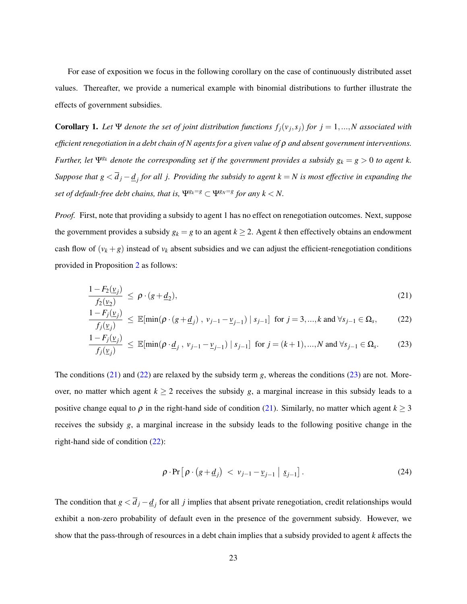For ease of exposition we focus in the following corollary on the case of continuously distributed asset values. Thereafter, we provide a numerical example with binomial distributions to further illustrate the effects of government subsidies.

**Corollary 1.** Let  $\Psi$  denote the set of joint distribution functions  $f_j(v_j, s_j)$  for  $j = 1, ..., N$  associated with *efficient renegotiation in a debt chain of N agents for a given value of* ρ *and absent government interventions. Further, let*  $\Psi^{g_k}$  *denote the corresponding set if the government provides a subsidy*  $g_k = g > 0$  to agent k. *Suppose that g* < *d <sup>j</sup>* −*d <sup>j</sup> for all j. Providing the subsidy to agent k* = *N is most effective in expanding the set of default-free debt chains, that is,*  $\Psi^{g_k=g} \subset \Psi^{g_N=g}$  *for any*  $k < N$ .

*Proof.* First, note that providing a subsidy to agent 1 has no effect on renegotiation outcomes. Next, suppose the government provides a subsidy  $g_k = g$  to an agent  $k \geq 2$ . Agent *k* then effectively obtains an endowment cash flow of  $(v_k + g)$  instead of  $v_k$  absent subsidies and we can adjust the efficient-renegotiation conditions provided in Proposition [2](#page-20-0) as follows:

$$
\frac{1-F_2(\underline{v}_j)}{f_2(\underline{v}_2)} \le \rho \cdot (g+\underline{d}_2),\tag{21}
$$

$$
\frac{1 - F_j(\underline{v}_j)}{f_j(\underline{v}_j)} \le \mathbb{E}[\min(\rho \cdot (g + \underline{d}_j), v_{j-1} - \underline{v}_{j-1}) | s_{j-1}] \text{ for } j = 3, ..., k \text{ and } \forall s_{j-1} \in \Omega_s,
$$
 (22)

$$
\frac{1 - F_j(\underline{v}_j)}{f_j(\underline{v}_j)} \le \mathbb{E}[\min(\rho \cdot \underline{d}_j, v_{j-1} - \underline{v}_{j-1}) \mid s_{j-1}] \text{ for } j = (k+1), ..., N \text{ and } \forall s_{j-1} \in \Omega_s. \tag{23}
$$

The conditions [\(21\)](#page-23-0) and [\(22\)](#page-23-1) are relaxed by the subsidy term *g*, whereas the conditions [\(23\)](#page-23-2) are not. Moreover, no matter which agent  $k \ge 2$  receives the subsidy *g*, a marginal increase in this subsidy leads to a positive change equal to  $\rho$  in the right-hand side of condition [\(21\)](#page-23-0). Similarly, no matter which agent  $k \geq 3$ receives the subsidy *g*, a marginal increase in the subsidy leads to the following positive change in the right-hand side of condition [\(22\)](#page-23-1):

<span id="page-23-2"></span><span id="page-23-1"></span><span id="page-23-0"></span>
$$
\rho \cdot \Pr\left[\rho \cdot (g + \underline{d}_j) < v_{j-1} - \underline{v}_{j-1} \mid \underline{s}_{j-1}\right].\tag{24}
$$

The condition that  $g < \overline{d}_j - \underline{d}_j$  for all *j* implies that absent private renegotiation, credit relationships would exhibit a non-zero probability of default even in the presence of the government subsidy. However, we show that the pass-through of resources in a debt chain implies that a subsidy provided to agent *k* affects the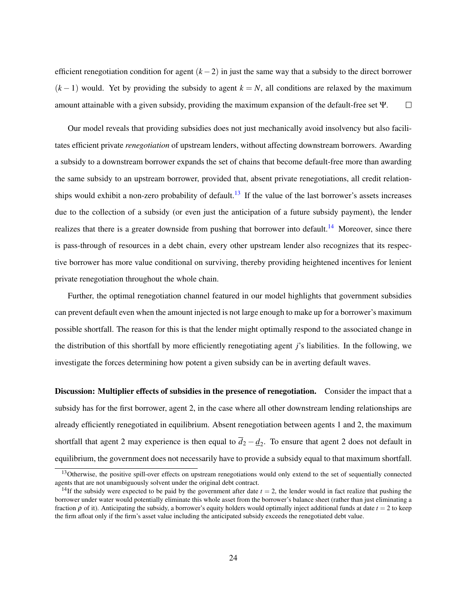efficient renegotiation condition for agent (*k* −2) in just the same way that a subsidy to the direct borrower  $(k-1)$  would. Yet by providing the subsidy to agent  $k = N$ , all conditions are relaxed by the maximum amount attainable with a given subsidy, providing the maximum expansion of the default-free set Ψ.  $\Box$ 

Our model reveals that providing subsidies does not just mechanically avoid insolvency but also facilitates efficient private *renegotiation* of upstream lenders, without affecting downstream borrowers. Awarding a subsidy to a downstream borrower expands the set of chains that become default-free more than awarding the same subsidy to an upstream borrower, provided that, absent private renegotiations, all credit relation-ships would exhibit a non-zero probability of default.<sup>[13](#page-24-0)</sup> If the value of the last borrower's assets increases due to the collection of a subsidy (or even just the anticipation of a future subsidy payment), the lender realizes that there is a greater downside from pushing that borrower into default.<sup>[14](#page-24-1)</sup> Moreover, since there is pass-through of resources in a debt chain, every other upstream lender also recognizes that its respective borrower has more value conditional on surviving, thereby providing heightened incentives for lenient private renegotiation throughout the whole chain.

Further, the optimal renegotiation channel featured in our model highlights that government subsidies can prevent default even when the amount injected is not large enough to make up for a borrower's maximum possible shortfall. The reason for this is that the lender might optimally respond to the associated change in the distribution of this shortfall by more efficiently renegotiating agent *j*'s liabilities. In the following, we investigate the forces determining how potent a given subsidy can be in averting default waves.

Discussion: Multiplier effects of subsidies in the presence of renegotiation. Consider the impact that a subsidy has for the first borrower, agent 2, in the case where all other downstream lending relationships are already efficiently renegotiated in equilibrium. Absent renegotiation between agents 1 and 2, the maximum shortfall that agent 2 may experience is then equal to  $\overline{d}_2 - \underline{d}_2$ . To ensure that agent 2 does not default in equilibrium, the government does not necessarily have to provide a subsidy equal to that maximum shortfall.

<span id="page-24-0"></span><sup>&</sup>lt;sup>13</sup>Otherwise, the positive spill-over effects on upstream renegotiations would only extend to the set of sequentially connected agents that are not unambiguously solvent under the original debt contract.

<span id="page-24-1"></span><sup>&</sup>lt;sup>14</sup>If the subsidy were expected to be paid by the government after date  $t = 2$ , the lender would in fact realize that pushing the borrower under water would potentially eliminate this whole asset from the borrower's balance sheet (rather than just eliminating a fraction  $\rho$  of it). Anticipating the subsidy, a borrower's equity holders would optimally inject additional funds at date  $t = 2$  to keep the firm afloat only if the firm's asset value including the anticipated subsidy exceeds the renegotiated debt value.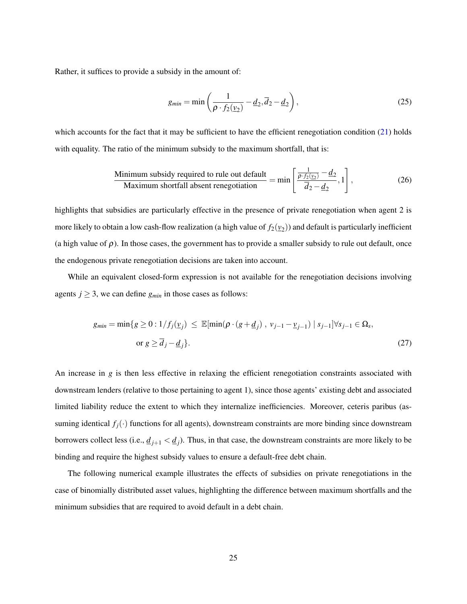Rather, it suffices to provide a subsidy in the amount of:

$$
g_{min} = \min\left(\frac{1}{\rho \cdot f_2(\underline{v}_2)} - \underline{d}_2, \overline{d}_2 - \underline{d}_2\right),\tag{25}
$$

which accounts for the fact that it may be sufficient to have the efficient renegotiation condition  $(21)$  holds with equality. The ratio of the minimum subsidy to the maximum shortfall, that is:

Minimum subsidy required to rule out default  
Maximum shorthand absent renegotiation 
$$
= \min \left[ \frac{\frac{1}{\rho \cdot f_2(\underline{v}_2)} - \underline{d}_2}{\overline{d}_2 - \underline{d}_2}, 1 \right],
$$
 (26)

highlights that subsidies are particularly effective in the presence of private renegotiation when agent 2 is more likely to obtain a low cash-flow realization (a high value of  $f_2(\nu_2)$ ) and default is particularly inefficient (a high value of  $\rho$ ). In those cases, the government has to provide a smaller subsidy to rule out default, once the endogenous private renegotiation decisions are taken into account.

While an equivalent closed-form expression is not available for the renegotiation decisions involving agents  $j \geq 3$ , we can define  $g_{min}$  in those cases as follows:

$$
g_{min} = \min\{g \ge 0 : 1/f_j(\underline{v}_j) \le \mathbb{E}[\min(\rho \cdot (g + \underline{d}_j), v_{j-1} - \underline{v}_{j-1}) | s_{j-1}] \forall s_{j-1} \in \Omega_s,
$$
  
or 
$$
g \ge \overline{d}_j - \underline{d}_j\}.
$$
 (27)

An increase in *g* is then less effective in relaxing the efficient renegotiation constraints associated with downstream lenders (relative to those pertaining to agent 1), since those agents' existing debt and associated limited liability reduce the extent to which they internalize inefficiencies. Moreover, ceteris paribus (assuming identical  $f_j(\cdot)$  functions for all agents), downstream constraints are more binding since downstream borrowers collect less (i.e.,  $\underline{d}_{j+1} < \underline{d}_j$ ). Thus, in that case, the downstream constraints are more likely to be binding and require the highest subsidy values to ensure a default-free debt chain.

The following numerical example illustrates the effects of subsidies on private renegotiations in the case of binomially distributed asset values, highlighting the difference between maximum shortfalls and the minimum subsidies that are required to avoid default in a debt chain.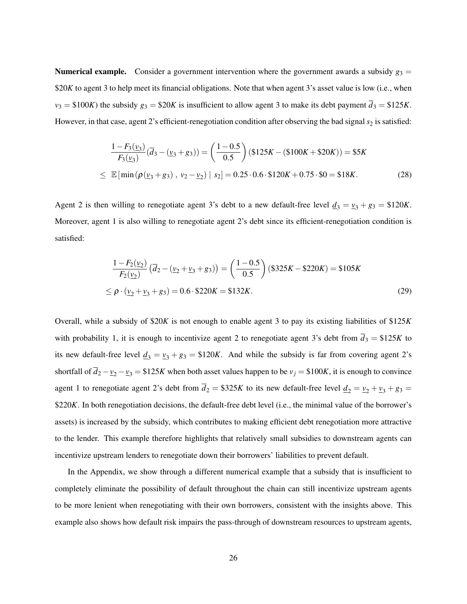**Numerical example.** Consider a government intervention where the government awards a subsidy  $g_3 =$ \$20*K* to agent 3 to help meet its financial obligations. Note that when agent 3's asset value is low (i.e., when  $v_3 = $100K$ ) the subsidy  $g_3 = $20K$  is insufficient to allow agent 3 to make its debt payment  $\overline{d}_3 = $125K$ . However, in that case, agent 2's efficient-renegotiation condition after observing the bad signal  $s_2$  is satisfied:

$$
\frac{1 - F_3(\underline{v}_3)}{F_3(\underline{v}_3)}(\overline{d}_3 - (\underline{v}_3 + g_3)) = \left(\frac{1 - 0.5}{0.5}\right)(\$125K - (\$100K + \$20K)) = \$5K
$$
\n
$$
\leq \mathbb{E}[\min(\rho(\underline{v}_3 + g_3), \ \underline{v}_2 - \underline{v}_2) \ | \ s_2] = 0.25 \cdot 0.6 \cdot \$120K + 0.75 \cdot \$0 = \$18K. \tag{28}
$$

Agent 2 is then willing to renegotiate agent 3's debt to a new default-free level  $\underline{d}_3 = \underline{v}_3 + g_3 = $120K$ . Moreover, agent 1 is also willing to renegotiate agent 2's debt since its efficient-renegotiation condition is satisfied:

$$
\frac{1 - F_2(\nu_2)}{F_2(\nu_2)} (\overline{d}_2 - (\nu_2 + \nu_3 + g_3)) = \left(\frac{1 - 0.5}{0.5}\right) (\$325K - \$220K) = \$105K
$$
  
\n
$$
\leq \rho \cdot (\nu_2 + \nu_3 + g_3) = 0.6 \cdot \$220K = \$132K.
$$
 (29)

Overall, while a subsidy of \$20*K* is not enough to enable agent 3 to pay its existing liabilities of \$125*K* with probability 1, it is enough to incentivize agent 2 to renegotiate agent 3's debt from  $\overline{d}_3 = $125K$  to its new default-free level  $\underline{d}_3 = \underline{v}_3 + g_3 = \$120K$ . And while the subsidy is far from covering agent 2's shortfall of  $\overline{d}_2 - \nu_2 - \nu_3 = \$125K$  when both asset values happen to be  $\nu_j = \$100K$ , it is enough to convince agent 1 to renegotiate agent 2's debt from  $\overline{d}_2 = $325K$  to its new default-free level  $\underline{d}_2 = \underline{v}_2 + \underline{v}_3 + \underline{v}_3 =$ \$220*K*. In both renegotiation decisions, the default-free debt level (i.e., the minimal value of the borrower's assets) is increased by the subsidy, which contributes to making efficient debt renegotiation more attractive to the lender. This example therefore highlights that relatively small subsidies to downstream agents can incentivize upstream lenders to renegotiate down their borrowers' liabilities to prevent default.

In the Appendix, we show through a different numerical example that a subsidy that is insufficient to completely eliminate the possibility of default throughout the chain can still incentivize upstream agents to be more lenient when renegotiating with their own borrowers, consistent with the insights above. This example also shows how default risk impairs the pass-through of downstream resources to upstream agents,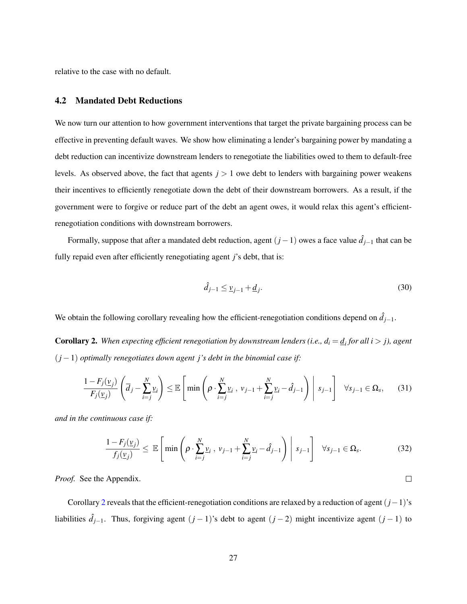relative to the case with no default.

#### 4.2 Mandated Debt Reductions

We now turn our attention to how government interventions that target the private bargaining process can be effective in preventing default waves. We show how eliminating a lender's bargaining power by mandating a debt reduction can incentivize downstream lenders to renegotiate the liabilities owed to them to default-free levels. As observed above, the fact that agents *j* > 1 owe debt to lenders with bargaining power weakens their incentives to efficiently renegotiate down the debt of their downstream borrowers. As a result, if the government were to forgive or reduce part of the debt an agent owes, it would relax this agent's efficientrenegotiation conditions with downstream borrowers.

Formally, suppose that after a mandated debt reduction, agent (*j*−1) owes a face value *d*ˆ *<sup>j</sup>*−<sup>1</sup> that can be fully repaid even after efficiently renegotiating agent *j*'s debt, that is:

$$
\hat{d}_{j-1} \le \underline{v}_{j-1} + \underline{d}_j. \tag{30}
$$

We obtain the following corollary revealing how the efficient-renegotiation conditions depend on  $\hat{d}_{j-1}$ .

<span id="page-27-0"></span>**Corollary 2.** When expecting efficient renegotiation by downstream lenders (i.e.,  $d_i = \underline{d_i}$  for all  $i > j$ ), agent (*j* −1) *optimally renegotiates down agent j's debt in the binomial case if:*

$$
\frac{1 - F_j(\underline{v}_j)}{F_j(\underline{v}_j)} \left( \overline{d}_j - \sum_{i=j}^N \underline{v}_i \right) \le \mathbb{E} \left[ \min \left( \rho \cdot \sum_{i=j}^N \underline{v}_i, \ v_{j-1} + \sum_{i=j}^N \underline{v}_i - \hat{d}_{j-1} \right) \middle| \ s_{j-1} \right] \ \ \forall s_{j-1} \in \Omega_s,
$$
 (31)

*and in the continuous case if:*

$$
\frac{1 - F_j(\underline{v}_j)}{f_j(\underline{v}_j)} \leq \mathbb{E}\left[\min\left(\rho \cdot \sum_{i=j}^N \underline{v}_i, \, \nu_{j-1} + \sum_{i=j}^N \underline{v}_i - \hat{d}_{j-1}\right) \middle| \, s_{j-1}\right] \quad \forall s_{j-1} \in \Omega_s. \tag{32}
$$

*Proof.* See the Appendix.

Corollary [2](#page-27-0) reveals that the efficient-renegotiation conditions are relaxed by a reduction of agent (*j*−1)'s liabilities  $\hat{d}_{j-1}$ . Thus, forgiving agent  $(j-1)$ 's debt to agent  $(j-2)$  might incentivize agent  $(j-1)$  to

<span id="page-27-1"></span> $\Box$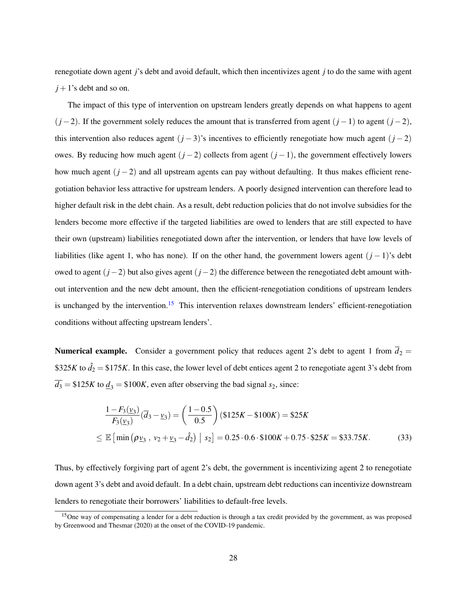renegotiate down agent *j*'s debt and avoid default, which then incentivizes agent *j* to do the same with agent  $j + 1$ 's debt and so on.

The impact of this type of intervention on upstream lenders greatly depends on what happens to agent (*j* −2). If the government solely reduces the amount that is transferred from agent (*j* −1) to agent (*j* −2), this intervention also reduces agent  $(j-3)$ 's incentives to efficiently renegotiate how much agent  $(j-2)$ owes. By reducing how much agent (*j* −2) collects from agent (*j* −1), the government effectively lowers how much agent (*j* − 2) and all upstream agents can pay without defaulting. It thus makes efficient renegotiation behavior less attractive for upstream lenders. A poorly designed intervention can therefore lead to higher default risk in the debt chain. As a result, debt reduction policies that do not involve subsidies for the lenders become more effective if the targeted liabilities are owed to lenders that are still expected to have their own (upstream) liabilities renegotiated down after the intervention, or lenders that have low levels of liabilities (like agent 1, who has none). If on the other hand, the government lowers agent (*j* − 1)'s debt owed to agent (*j*−2) but also gives agent (*j*−2) the difference between the renegotiated debt amount without intervention and the new debt amount, then the efficient-renegotiation conditions of upstream lenders is unchanged by the intervention.<sup>[15](#page-28-0)</sup> This intervention relaxes downstream lenders' efficient-renegotiation conditions without affecting upstream lenders'.

**Numerical example.** Consider a government policy that reduces agent 2's debt to agent 1 from  $\overline{d}_2$  = \$325*K* to  $\hat{d}_2 =$  \$175*K*. In this case, the lower level of debt entices agent 2 to renegotiate agent 3's debt from  $\overline{d_3}$  = \$125*K* to  $\underline{d_3}$  = \$100*K*, even after observing the bad signal *s*<sub>2</sub>, since:

$$
\frac{1 - F_3(\underline{v}_3)}{F_3(\underline{v}_3)}(\overline{d}_3 - \underline{v}_3) = \left(\frac{1 - 0.5}{0.5}\right)(\$125K - \$100K) = \$25K
$$
\n
$$
\leq \mathbb{E}\left[\min\left(\rho \underline{v}_3 \,, \, \nu_2 + \underline{v}_3 - \hat{d}_2\right) \big| \, s_2\right] = 0.25 \cdot 0.6 \cdot \$100K + 0.75 \cdot \$25K = \$33.75K. \tag{33}
$$

Thus, by effectively forgiving part of agent 2's debt, the government is incentivizing agent 2 to renegotiate down agent 3's debt and avoid default. In a debt chain, upstream debt reductions can incentivize downstream lenders to renegotiate their borrowers' liabilities to default-free levels.

<span id="page-28-0"></span><sup>&</sup>lt;sup>15</sup>One way of compensating a lender for a debt reduction is through a tax credit provided by the government, as was proposed by Greenwood and Thesmar (2020) at the onset of the COVID-19 pandemic.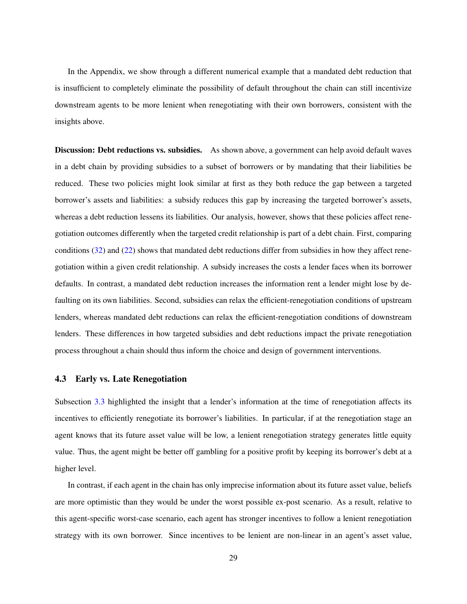In the Appendix, we show through a different numerical example that a mandated debt reduction that is insufficient to completely eliminate the possibility of default throughout the chain can still incentivize downstream agents to be more lenient when renegotiating with their own borrowers, consistent with the insights above.

Discussion: Debt reductions vs. subsidies. As shown above, a government can help avoid default waves in a debt chain by providing subsidies to a subset of borrowers or by mandating that their liabilities be reduced. These two policies might look similar at first as they both reduce the gap between a targeted borrower's assets and liabilities: a subsidy reduces this gap by increasing the targeted borrower's assets, whereas a debt reduction lessens its liabilities. Our analysis, however, shows that these policies affect renegotiation outcomes differently when the targeted credit relationship is part of a debt chain. First, comparing conditions [\(32\)](#page-27-1) and [\(22\)](#page-23-1) shows that mandated debt reductions differ from subsidies in how they affect renegotiation within a given credit relationship. A subsidy increases the costs a lender faces when its borrower defaults. In contrast, a mandated debt reduction increases the information rent a lender might lose by defaulting on its own liabilities. Second, subsidies can relax the efficient-renegotiation conditions of upstream lenders, whereas mandated debt reductions can relax the efficient-renegotiation conditions of downstream lenders. These differences in how targeted subsidies and debt reductions impact the private renegotiation process throughout a chain should thus inform the choice and design of government interventions.

#### 4.3 Early vs. Late Renegotiation

Subsection [3.3](#page-14-2) highlighted the insight that a lender's information at the time of renegotiation affects its incentives to efficiently renegotiate its borrower's liabilities. In particular, if at the renegotiation stage an agent knows that its future asset value will be low, a lenient renegotiation strategy generates little equity value. Thus, the agent might be better off gambling for a positive profit by keeping its borrower's debt at a higher level.

In contrast, if each agent in the chain has only imprecise information about its future asset value, beliefs are more optimistic than they would be under the worst possible ex-post scenario. As a result, relative to this agent-specific worst-case scenario, each agent has stronger incentives to follow a lenient renegotiation strategy with its own borrower. Since incentives to be lenient are non-linear in an agent's asset value,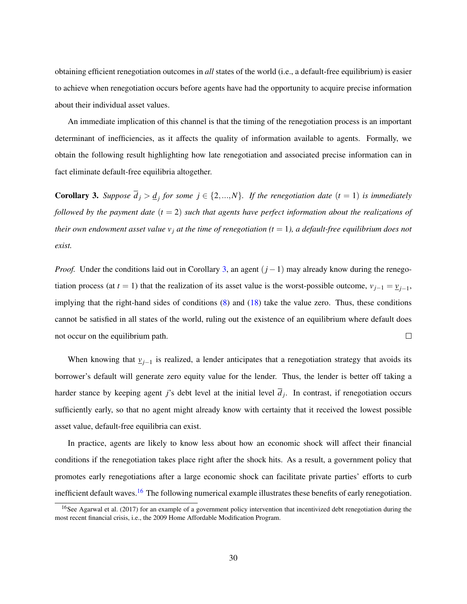obtaining efficient renegotiation outcomes in *all* states of the world (i.e., a default-free equilibrium) is easier to achieve when renegotiation occurs before agents have had the opportunity to acquire precise information about their individual asset values.

An immediate implication of this channel is that the timing of the renegotiation process is an important determinant of inefficiencies, as it affects the quality of information available to agents. Formally, we obtain the following result highlighting how late renegotiation and associated precise information can in fact eliminate default-free equilibria altogether.

<span id="page-30-0"></span>**Corollary 3.** Suppose  $\overline{d}_j > \underline{d}_j$  for some  $j \in \{2, ..., N\}$ . If the renegotiation date  $(t = 1)$  is immediately *followed by the payment date*  $(t = 2)$  *such that agents have perfect information about the realizations of their own endowment asset value v<sub>i</sub> at the time of renegotiation*  $(t = 1)$ *, a default-free equilibrium does not exist.*

*Proof.* Under the conditions laid out in Corollary [3,](#page-30-0) an agent  $(j - 1)$  may already know during the renegotiation process (at *t* = 1) that the realization of its asset value is the worst-possible outcome,  $v_{j-1} = v_{j-1}$ , implying that the right-hand sides of conditions [\(8\)](#page-15-1) and [\(18\)](#page-21-0) take the value zero. Thus, these conditions cannot be satisfied in all states of the world, ruling out the existence of an equilibrium where default does not occur on the equilibrium path.  $\Box$ 

When knowing that  $v_{j-1}$  is realized, a lender anticipates that a renegotiation strategy that avoids its borrower's default will generate zero equity value for the lender. Thus, the lender is better off taking a harder stance by keeping agent *j*'s debt level at the initial level  $d_j$ . In contrast, if renegotiation occurs sufficiently early, so that no agent might already know with certainty that it received the lowest possible asset value, default-free equilibria can exist.

In practice, agents are likely to know less about how an economic shock will affect their financial conditions if the renegotiation takes place right after the shock hits. As a result, a government policy that promotes early renegotiations after a large economic shock can facilitate private parties' efforts to curb inefficient default waves.<sup>[16](#page-30-1)</sup> The following numerical example illustrates these benefits of early renegotiation.

<span id="page-30-1"></span><sup>&</sup>lt;sup>16</sup>See Agarwal et al. (2017) for an example of a government policy intervention that incentivized debt renegotiation during the most recent financial crisis, i.e., the 2009 Home Affordable Modification Program.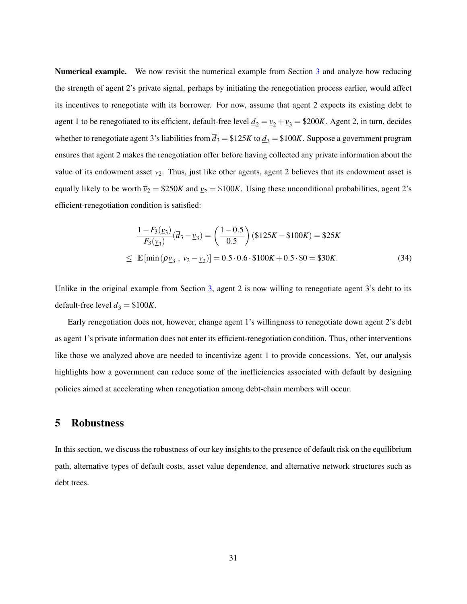Numerical example. We now revisit the numerical example from Section [3](#page-10-0) and analyze how reducing the strength of agent 2's private signal, perhaps by initiating the renegotiation process earlier, would affect its incentives to renegotiate with its borrower. For now, assume that agent 2 expects its existing debt to agent 1 to be renegotiated to its efficient, default-free level  $\underline{d}_2 = \underline{v}_2 + \underline{v}_3 = \$200K$ . Agent 2, in turn, decides whether to renegotiate agent 3's liabilities from  $\overline{d}_3 = $125K$  to  $\underline{d}_3 = $100K$ . Suppose a government program ensures that agent 2 makes the renegotiation offer before having collected any private information about the value of its endowment asset *v*<sub>2</sub>. Thus, just like other agents, agent 2 believes that its endowment asset is equally likely to be worth  $\bar{v}_2 = $250K$  and  $v_2 = $100K$ . Using these unconditional probabilities, agent 2's efficient-renegotiation condition is satisfied:

$$
\frac{1 - F_3(\underline{v}_3)}{F_3(\underline{v}_3)}(\overline{d}_3 - \underline{v}_3) = \left(\frac{1 - 0.5}{0.5}\right)(\$125K - \$100K) = \$25K
$$
\n
$$
\leq \mathbb{E}[\min(\rho_{\underline{v}_3}, \nu_2 - \underline{v}_2)] = 0.5 \cdot 0.6 \cdot \$100K + 0.5 \cdot \$0 = \$30K. \tag{34}
$$

Unlike in the original example from Section [3,](#page-10-0) agent 2 is now willing to renegotiate agent 3's debt to its default-free level  $\underline{d}_3 = $100K$ .

Early renegotiation does not, however, change agent 1's willingness to renegotiate down agent 2's debt as agent 1's private information does not enter its efficient-renegotiation condition. Thus, other interventions like those we analyzed above are needed to incentivize agent 1 to provide concessions. Yet, our analysis highlights how a government can reduce some of the inefficiencies associated with default by designing policies aimed at accelerating when renegotiation among debt-chain members will occur.

### <span id="page-31-0"></span>5 Robustness

In this section, we discuss the robustness of our key insights to the presence of default risk on the equilibrium path, alternative types of default costs, asset value dependence, and alternative network structures such as debt trees.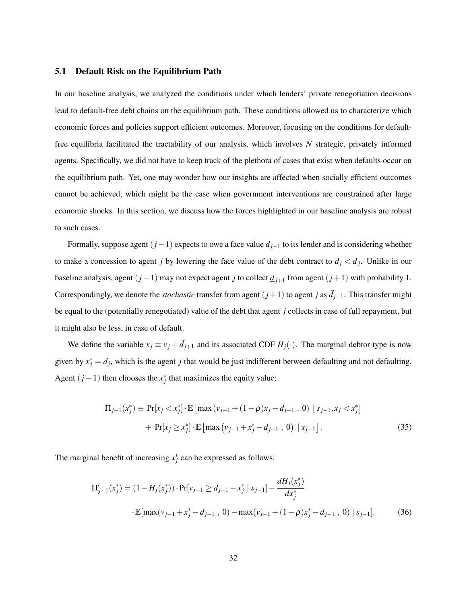#### 5.1 Default Risk on the Equilibrium Path

In our baseline analysis, we analyzed the conditions under which lenders' private renegotiation decisions lead to default-free debt chains on the equilibrium path. These conditions allowed us to characterize which economic forces and policies support efficient outcomes. Moreover, focusing on the conditions for defaultfree equilibria facilitated the tractability of our analysis, which involves *N* strategic, privately informed agents. Specifically, we did not have to keep track of the plethora of cases that exist when defaults occur on the equilibrium path. Yet, one may wonder how our insights are affected when socially efficient outcomes cannot be achieved, which might be the case when government interventions are constrained after large economic shocks. In this section, we discuss how the forces highlighted in our baseline analysis are robust to such cases.

Formally, suppose agent (*j*−1) expects to owe a face value *dj*−<sup>1</sup> to its lender and is considering whether to make a concession to agent *j* by lowering the face value of the debt contract to  $d_j < d_j$ . Unlike in our baseline analysis, agent  $(j-1)$  may not expect agent *j* to collect  $\underline{d}_{j+1}$  from agent  $(j+1)$  with probability 1. Correspondingly, we denote the *stochastic* transfer from agent  $(j+1)$  to agent *j* as  $\tilde{d}_{j+1}$ . This transfer might be equal to the (potentially renegotiated) value of the debt that agent *j* collects in case of full repayment, but it might also be less, in case of default.

We define the variable  $x_j \equiv v_j + d_{j+1}$  and its associated CDF  $H_j(\cdot)$ . The marginal debtor type is now given by  $x_j^* = d_j$ , which is the agent *j* that would be just indifferent between defaulting and not defaulting. Agent  $(j-1)$  then chooses the  $x_j^*$  that maximizes the equity value:

$$
\Pi_{j-1}(x_j^*) \equiv \Pr[x_j < x_j^*] \cdot \mathbb{E}\left[\max\left(\nu_{j-1} + (1-\rho)x_j - d_{j-1}\right), 0\right) \mid s_{j-1}, x_j < x_j^*\right] \\
+ \Pr[x_j \ge x_j^*] \cdot \mathbb{E}\left[\max\left(\nu_{j-1} + x_j^* - d_{j-1}\right), 0\right) \mid s_{j-1}\right].\n\tag{35}
$$

The marginal benefit of increasing  $x_j^*$  can be expressed as follows:

<span id="page-32-0"></span>
$$
\Pi'_{j-1}(x_j^*) = (1 - H_j(x_j^*)) \cdot \Pr[v_{j-1} \ge d_{j-1} - x_j^* \mid s_{j-1}] - \frac{dH_j(x_j^*)}{dx_j^*}
$$

$$
\cdot \mathbb{E}[\max(v_{j-1} + x_j^* - d_{j-1}, 0) - \max(v_{j-1} + (1 - \rho)x_j^* - d_{j-1}, 0) \mid s_{j-1}].
$$
 (36)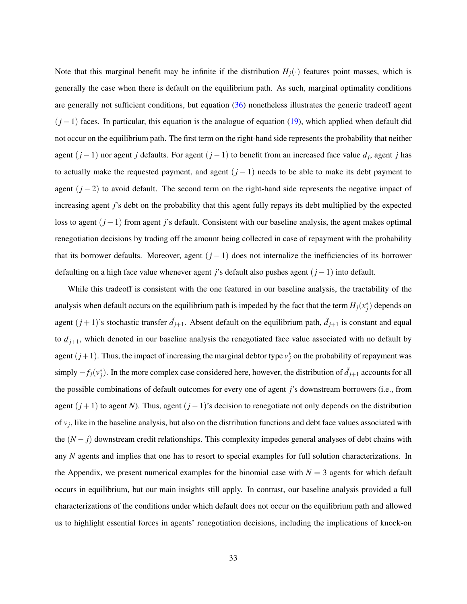Note that this marginal benefit may be infinite if the distribution  $H_j(\cdot)$  features point masses, which is generally the case when there is default on the equilibrium path. As such, marginal optimality conditions are generally not sufficient conditions, but equation [\(36\)](#page-32-0) nonetheless illustrates the generic tradeoff agent  $(j-1)$  faces. In particular, this equation is the analogue of equation [\(19\)](#page-21-1), which applied when default did not occur on the equilibrium path. The first term on the right-hand side represents the probability that neither agent (*j* −1) nor agent *j* defaults. For agent (*j* −1) to benefit from an increased face value *d<sup>j</sup>* , agent *j* has to actually make the requested payment, and agent  $(j - 1)$  needs to be able to make its debt payment to agent  $(j-2)$  to avoid default. The second term on the right-hand side represents the negative impact of increasing agent *j*'s debt on the probability that this agent fully repays its debt multiplied by the expected loss to agent (*j* −1) from agent *j*'s default. Consistent with our baseline analysis, the agent makes optimal renegotiation decisions by trading off the amount being collected in case of repayment with the probability that its borrower defaults. Moreover, agent  $(j - 1)$  does not internalize the inefficiencies of its borrower defaulting on a high face value whenever agent *j*'s default also pushes agent (*j* −1) into default.

While this tradeoff is consistent with the one featured in our baseline analysis, the tractability of the analysis when default occurs on the equilibrium path is impeded by the fact that the term  $H_j(x_j^*)$  depends on agent  $(j+1)$ 's stochastic transfer  $\tilde{d}_{j+1}$ . Absent default on the equilibrium path,  $\tilde{d}_{j+1}$  is constant and equal to  $\underline{d}_{j+1}$ , which denoted in our baseline analysis the renegotiated face value associated with no default by agent  $(j+1)$ . Thus, the impact of increasing the marginal debtor type  $v_j^*$  on the probability of repayment was  $\frac{1}{2}$  is imply  $-f_j(v_j^*)$ . In the more complex case considered here, however, the distribution of  $d_{j+1}$  accounts for all the possible combinations of default outcomes for every one of agent *j*'s downstream borrowers (i.e., from agent (*j* +1) to agent *N*). Thus, agent (*j* −1)'s decision to renegotiate not only depends on the distribution of *v<sup>j</sup>* , like in the baseline analysis, but also on the distribution functions and debt face values associated with the (*N* − *j*) downstream credit relationships. This complexity impedes general analyses of debt chains with any *N* agents and implies that one has to resort to special examples for full solution characterizations. In the Appendix, we present numerical examples for the binomial case with  $N = 3$  agents for which default occurs in equilibrium, but our main insights still apply. In contrast, our baseline analysis provided a full characterizations of the conditions under which default does not occur on the equilibrium path and allowed us to highlight essential forces in agents' renegotiation decisions, including the implications of knock-on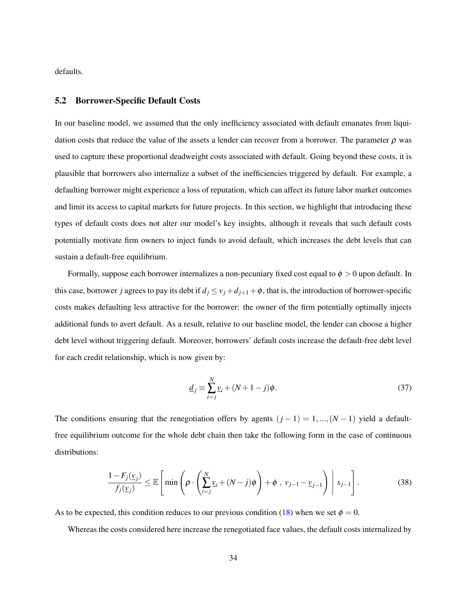defaults.

### 5.2 Borrower-Specific Default Costs

In our baseline model, we assumed that the only inefficiency associated with default emanates from liquidation costs that reduce the value of the assets a lender can recover from a borrower. The parameter  $\rho$  was used to capture these proportional deadweight costs associated with default. Going beyond these costs, it is plausible that borrowers also internalize a subset of the inefficiencies triggered by default. For example, a defaulting borrower might experience a loss of reputation, which can affect its future labor market outcomes and limit its access to capital markets for future projects. In this section, we highlight that introducing these types of default costs does not alter our model's key insights, although it reveals that such default costs potentially motivate firm owners to inject funds to avoid default, which increases the debt levels that can sustain a default-free equilibrium.

Formally, suppose each borrower internalizes a non-pecuniary fixed cost equal to  $\phi > 0$  upon default. In this case, borrower *j* agrees to pay its debt if  $d_j \le v_j + d_{j+1} + \phi$ , that is, the introduction of borrower-specific costs makes defaulting less attractive for the borrower: the owner of the firm potentially optimally injects additional funds to avert default. As a result, relative to our baseline model, the lender can choose a higher debt level without triggering default. Moreover, borrowers' default costs increase the default-free debt level for each credit relationship, which is now given by:

$$
\underline{d}_j \equiv \sum_{i=j}^{N} \underline{v}_i + (N+1-j)\phi. \tag{37}
$$

The conditions ensuring that the renegotiation offers by agents  $(j - 1) = 1, ..., (N - 1)$  yield a defaultfree equilibrium outcome for the whole debt chain then take the following form in the case of continuous distributions:

$$
\frac{1 - F_j(\underline{v}_j)}{f_j(\underline{v}_j)} \le \mathbb{E}\left[\min\left(\rho \cdot \left(\sum_{i=j}^N \underline{v}_i + (N-j)\phi\right) + \phi, v_{j-1} - \underline{v}_{j-1}\right) \middle| s_{j-1}\right].\right]
$$
(38)

As to be expected, this condition reduces to our previous condition [\(18\)](#page-21-0) when we set  $\phi = 0$ .

Whereas the costs considered here increase the renegotiated face values, the default costs internalized by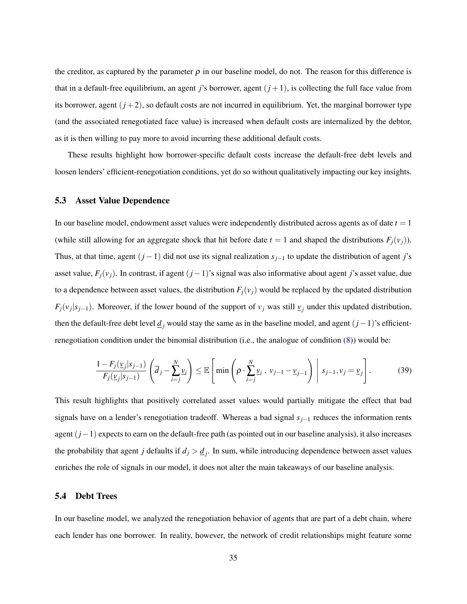the creditor, as captured by the parameter  $\rho$  in our baseline model, do not. The reason for this difference is that in a default-free equilibrium, an agent *j*'s borrower, agent  $(j+1)$ , is collecting the full face value from its borrower, agent  $(j+2)$ , so default costs are not incurred in equilibrium. Yet, the marginal borrower type (and the associated renegotiated face value) is increased when default costs are internalized by the debtor, as it is then willing to pay more to avoid incurring these additional default costs.

These results highlight how borrower-specific default costs increase the default-free debt levels and loosen lenders' efficient-renegotiation conditions, yet do so without qualitatively impacting our key insights.

### 5.3 Asset Value Dependence

In our baseline model, endowment asset values were independently distributed across agents as of date *t* = 1 (while still allowing for an aggregate shock that hit before date  $t = 1$  and shaped the distributions  $F_i(v_i)$ ). Thus, at that time, agent  $(j-1)$  did not use its signal realization  $s_{j-1}$  to update the distribution of agent *j*'s asset value,  $F_j(v_j)$ . In contrast, if agent  $(j-1)$ 's signal was also informative about agent *j*'s asset value, due to a dependence between asset values, the distribution  $F_i(v_i)$  would be replaced by the updated distribution  $F_j(v_j|s_{j-1})$ . Moreover, if the lower bound of the support of  $v_j$  was still  $v_j$  under this updated distribution, then the default-free debt level  $\underline{d}_j$  would stay the same as in the baseline model, and agent  $(j-1)$ 's efficientrenegotiation condition under the binomial distribution (i.e., the analogue of condition [\(8\)](#page-15-1)) would be:

$$
\frac{1 - F_j(\underline{v}_j | s_{j-1})}{F_j(\underline{v}_j | s_{j-1})} \left( \overline{d}_j - \sum_{i=j}^N \underline{v}_i \right) \le \mathbb{E} \left[ \min \left( \rho \cdot \sum_{i=j}^N \underline{v}_i, \ v_{j-1} - \underline{v}_{j-1} \right) \middle| s_{j-1}, v_j = \underline{v}_j \right]. \tag{39}
$$

This result highlights that positively correlated asset values would partially mitigate the effect that bad signals have on a lender's renegotiation tradeoff. Whereas a bad signal *sj*−<sup>1</sup> reduces the information rents agent (*j*−1) expects to earn on the default-free path (as pointed out in our baseline analysis), it also increases the probability that agent *j* defaults if  $d_j > \underline{d}_j$ . In sum, while introducing dependence between asset values enriches the role of signals in our model, it does not alter the main takeaways of our baseline analysis.

#### 5.4 Debt Trees

In our baseline model, we analyzed the renegotiation behavior of agents that are part of a debt chain, where each lender has one borrower. In reality, however, the network of credit relationships might feature some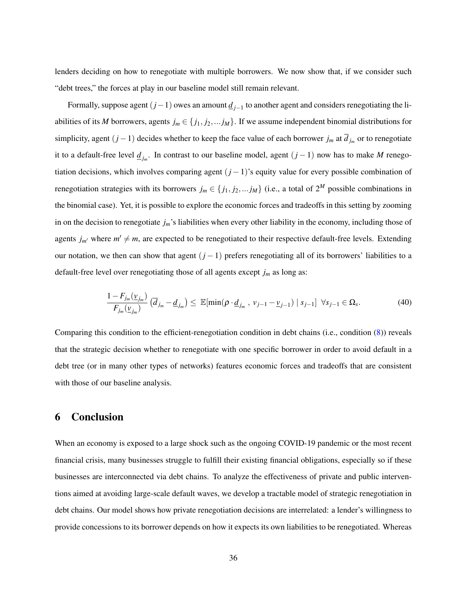lenders deciding on how to renegotiate with multiple borrowers. We now show that, if we consider such "debt trees," the forces at play in our baseline model still remain relevant.

Formally, suppose agent (*j*−1) owes an amount *d <sup>j</sup>*−<sup>1</sup> to another agent and considers renegotiating the liabilities of its *M* borrowers, agents  $j_m \in \{j_1, j_2, \ldots, j_M\}$ . If we assume independent binomial distributions for simplicity, agent  $(j-1)$  decides whether to keep the face value of each borrower  $j_m$  at  $d_{j_m}$  or to renegotiate it to a default-free level *d <sup>j</sup><sup>m</sup>* . In contrast to our baseline model, agent (*j* − 1) now has to make *M* renegotiation decisions, which involves comparing agent (*j* −1)'s equity value for every possible combination of renegotiation strategies with its borrowers  $j_m \in \{j_1, j_2, \ldots, j_M\}$  (i.e., a total of  $2^M$  possible combinations in the binomial case). Yet, it is possible to explore the economic forces and tradeoffs in this setting by zooming in on the decision to renegotiate *jm*'s liabilities when every other liability in the economy, including those of agents  $j_{m'}$  where  $m' \neq m$ , are expected to be renegotiated to their respective default-free levels. Extending our notation, we then can show that agent (*j* − 1) prefers renegotiating all of its borrowers' liabilities to a default-free level over renegotiating those of all agents except *j<sup>m</sup>* as long as:

$$
\frac{1 - F_{j_m}(\underline{v}_{j_m})}{F_{j_m}(\underline{v}_{j_m})} \left(\overline{d}_{j_m} - \underline{d}_{j_m}\right) \le \mathbb{E}[\min(\rho \cdot \underline{d}_{j_m}, v_{j-1} - \underline{v}_{j-1}) \mid s_{j-1}] \ \forall s_{j-1} \in \Omega_s.
$$
 (40)

Comparing this condition to the efficient-renegotiation condition in debt chains (i.e., condition [\(8\)](#page-15-1)) reveals that the strategic decision whether to renegotiate with one specific borrower in order to avoid default in a debt tree (or in many other types of networks) features economic forces and tradeoffs that are consistent with those of our baseline analysis.

### 6 Conclusion

When an economy is exposed to a large shock such as the ongoing COVID-19 pandemic or the most recent financial crisis, many businesses struggle to fulfill their existing financial obligations, especially so if these businesses are interconnected via debt chains. To analyze the effectiveness of private and public interventions aimed at avoiding large-scale default waves, we develop a tractable model of strategic renegotiation in debt chains. Our model shows how private renegotiation decisions are interrelated: a lender's willingness to provide concessions to its borrower depends on how it expects its own liabilities to be renegotiated. Whereas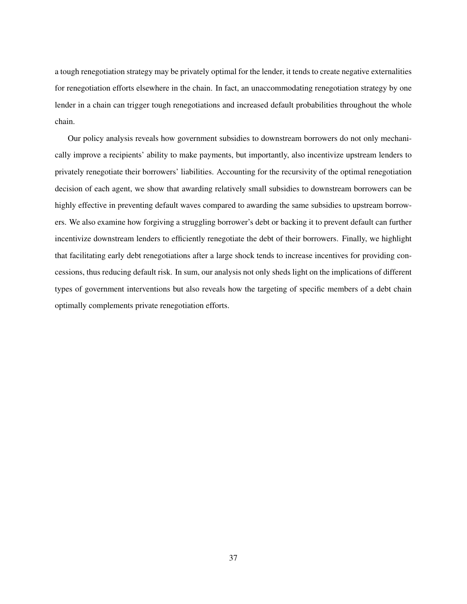a tough renegotiation strategy may be privately optimal for the lender, it tends to create negative externalities for renegotiation efforts elsewhere in the chain. In fact, an unaccommodating renegotiation strategy by one lender in a chain can trigger tough renegotiations and increased default probabilities throughout the whole chain.

Our policy analysis reveals how government subsidies to downstream borrowers do not only mechanically improve a recipients' ability to make payments, but importantly, also incentivize upstream lenders to privately renegotiate their borrowers' liabilities. Accounting for the recursivity of the optimal renegotiation decision of each agent, we show that awarding relatively small subsidies to downstream borrowers can be highly effective in preventing default waves compared to awarding the same subsidies to upstream borrowers. We also examine how forgiving a struggling borrower's debt or backing it to prevent default can further incentivize downstream lenders to efficiently renegotiate the debt of their borrowers. Finally, we highlight that facilitating early debt renegotiations after a large shock tends to increase incentives for providing concessions, thus reducing default risk. In sum, our analysis not only sheds light on the implications of different types of government interventions but also reveals how the targeting of specific members of a debt chain optimally complements private renegotiation efforts.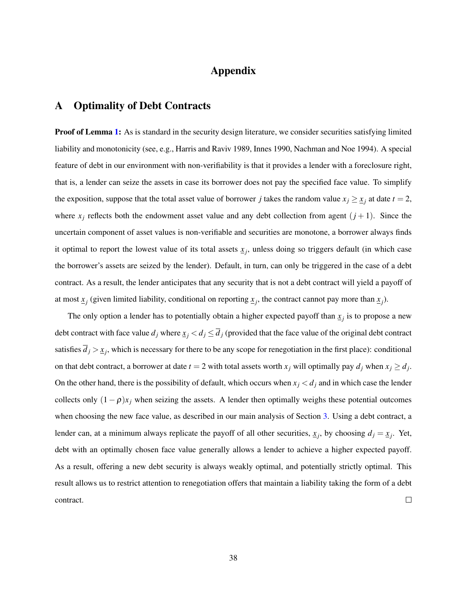# Appendix

# A Optimality of Debt Contracts

**Proof of Lemma [1:](#page-10-1)** As is standard in the security design literature, we consider securities satisfying limited liability and monotonicity (see, e.g., Harris and Raviv 1989, Innes 1990, Nachman and Noe 1994). A special feature of debt in our environment with non-verifiability is that it provides a lender with a foreclosure right, that is, a lender can seize the assets in case its borrower does not pay the specified face value. To simplify the exposition, suppose that the total asset value of borrower *j* takes the random value  $x_j \geq x_j$  at date  $t = 2$ , where  $x_j$  reflects both the endowment asset value and any debt collection from agent  $(j+1)$ . Since the uncertain component of asset values is non-verifiable and securities are monotone, a borrower always finds it optimal to report the lowest value of its total assets  $x_j$ , unless doing so triggers default (in which case the borrower's assets are seized by the lender). Default, in turn, can only be triggered in the case of a debt contract. As a result, the lender anticipates that any security that is not a debt contract will yield a payoff of at most  $x_j$  (given limited liability, conditional on reporting  $x_j$ , the contract cannot pay more than  $x_j$ ).

The only option a lender has to potentially obtain a higher expected payoff than  $\underline{x}_j$  is to propose a new debt contract with face value  $d_j$  where  $\underline{x}_j < d_j \leq \overline{d}_j$  (provided that the face value of the original debt contract satisfies  $d_j > x_j$ , which is necessary for there to be any scope for renegotiation in the first place): conditional on that debt contract, a borrower at date  $t = 2$  with total assets worth  $x_j$  will optimally pay  $d_j$  when  $x_j \geq d_j$ . On the other hand, there is the possibility of default, which occurs when  $x_j < d_j$  and in which case the lender collects only  $(1 - \rho)x_j$  when seizing the assets. A lender then optimally weighs these potential outcomes when choosing the new face value, as described in our main analysis of Section [3.](#page-10-0) Using a debt contract, a lender can, at a minimum always replicate the payoff of all other securities,  $x_j$ , by choosing  $d_j = x_j$ . Yet, debt with an optimally chosen face value generally allows a lender to achieve a higher expected payoff. As a result, offering a new debt security is always weakly optimal, and potentially strictly optimal. This result allows us to restrict attention to renegotiation offers that maintain a liability taking the form of a debt  $\Box$ contract.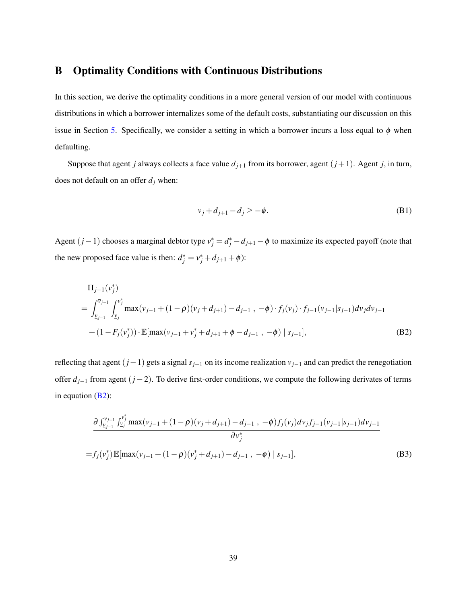### B Optimality Conditions with Continuous Distributions

In this section, we derive the optimality conditions in a more general version of our model with continuous distributions in which a borrower internalizes some of the default costs, substantiating our discussion on this issue in Section [5.](#page-31-0) Specifically, we consider a setting in which a borrower incurs a loss equal to  $\phi$  when defaulting.

Suppose that agent *j* always collects a face value  $d_{j+1}$  from its borrower, agent  $(j+1)$ . Agent *j*, in turn, does not default on an offer  $d_j$  when:

<span id="page-39-0"></span>
$$
v_j + d_{j+1} - d_j \ge -\phi. \tag{B1}
$$

Agent  $(j-1)$  chooses a marginal debtor type  $v_j^* = d_j^* - d_{j+1} - \phi$  to maximize its expected payoff (note that the new proposed face value is then:  $d_j^* = v_j^* + d_{j+1} + \phi$ :

$$
\Pi_{j-1}(v_j^*)
$$
\n
$$
= \int_{\underline{v}_{j-1}}^{\overline{v}_{j-1}} \int_{\underline{v}_j}^{v_j^*} \max(v_{j-1} + (1 - \rho)(v_j + d_{j+1}) - d_{j-1}, -\phi) \cdot f_j(v_j) \cdot f_{j-1}(v_{j-1}|s_{j-1}) dv_j dv_{j-1}
$$
\n
$$
+ (1 - F_j(v_j^*)) \cdot \mathbb{E}[\max(v_{j-1} + v_j^* + d_{j+1} + \phi - d_{j-1}, -\phi) | s_{j-1}], \tag{B2}
$$

reflecting that agent (*j*−1) gets a signal *sj*−<sup>1</sup> on its income realization *vj*−<sup>1</sup> and can predict the renegotiation offer *dj*−<sup>1</sup> from agent (*j* −2). To derive first-order conditions, we compute the following derivates of terms in equation  $(B2)$ :

$$
\frac{\partial \int_{\nu_{j-1}}^{\bar{\nu}_{j-1}} \int_{\nu_{j}}^{\nu_{j}^{*}} \max(v_{j-1} + (1 - \rho)(v_{j} + d_{j+1}) - d_{j-1}, -\phi) f_{j}(v_{j}) dv_{j} f_{j-1}(v_{j-1} | s_{j-1}) dv_{j-1}}{\partial v_{j}^{*}}
$$
\n
$$
= f_{j}(v_{j}^{*}) \mathbb{E}[\max(v_{j-1} + (1 - \rho)(v_{j}^{*} + d_{j+1}) - d_{j-1}, -\phi) | s_{j-1}], \tag{B3}
$$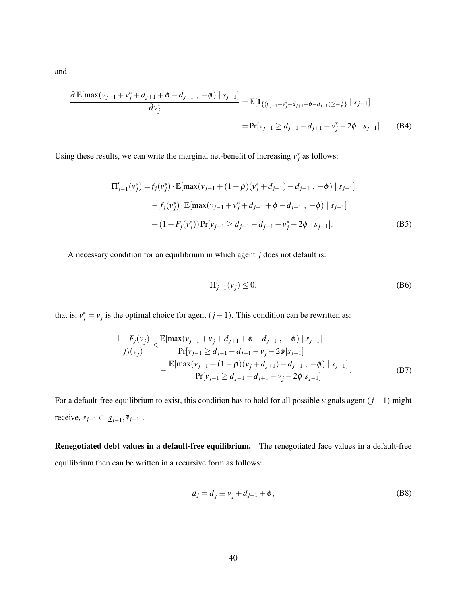$$
\frac{\partial \mathbb{E}[\max(v_{j-1} + v_j^* + d_{j+1} + \phi - d_{j-1}, -\phi) | s_{j-1}]}{\partial v_j^*} = \mathbb{E}[\mathbf{1}_{\{(v_{j-1} + v_j^* + d_{j+1} + \phi - d_{j-1}) \ge -\phi\}} | s_{j-1}]
$$
  
=  $\Pr[v_{j-1} \ge d_{j-1} - d_{j+1} - v_j^* - 2\phi | s_{j-1}].$  (B4)

Using these results, we can write the marginal net-benefit of increasing  $v_j^*$  as follows:

$$
\Pi'_{j-1}(v_j^*) = f_j(v_j^*) \cdot \mathbb{E}[\max(v_{j-1} + (1-\rho)(v_j^* + d_{j+1}) - d_{j-1}, -\phi) | s_{j-1}]
$$
  
-  $f_j(v_j^*) \cdot \mathbb{E}[\max(v_{j-1} + v_j^* + d_{j+1} + \phi - d_{j-1}, -\phi) | s_{j-1}]$   
+  $(1 - F_j(v_j^*)) \Pr[v_{j-1} \ge d_{j-1} - d_{j+1} - v_j^* - 2\phi | s_{j-1}].$  (B5)

A necessary condition for an equilibrium in which agent *j* does not default is:

<span id="page-40-0"></span>
$$
\Pi'_{j-1}(\underline{v}_j) \le 0,\tag{B6}
$$

that is,  $v_j^* = \underline{v}_j$  is the optimal choice for agent  $(j-1)$ . This condition can be rewritten as:

$$
\frac{1 - F_j(\underline{v}_j)}{f_j(\underline{v}_j)} \le \frac{\mathbb{E}[\max(v_{j-1} + \underline{v}_j + d_{j+1} + \phi - d_{j-1}, -\phi) | s_{j-1}]}{\Pr[v_{j-1} \ge d_{j-1} - d_{j+1} - \underline{v}_j - 2\phi | s_{j-1}]} - \frac{\mathbb{E}[\max(v_{j-1} + (1 - \rho)(\underline{v}_j + d_{j+1}) - d_{j-1}, -\phi) | s_{j-1}]}{\Pr[v_{j-1} \ge d_{j-1} - d_{j+1} - \underline{v}_j - 2\phi | s_{j-1}]}.
$$
\n(B7)

For a default-free equilibrium to exist, this condition has to hold for all possible signals agent (*j* −1) might *receive,*  $s_{j-1}$  ∈  $[\underline{s}_{j-1}, \overline{s}_{j-1}]$ .

Renegotiated debt values in a default-free equilibrium. The renegotiated face values in a default-free equilibrium then can be written in a recursive form as follows:

$$
d_j = \underline{d}_j \equiv \underline{v}_j + d_{j+1} + \phi,\tag{B8}
$$

and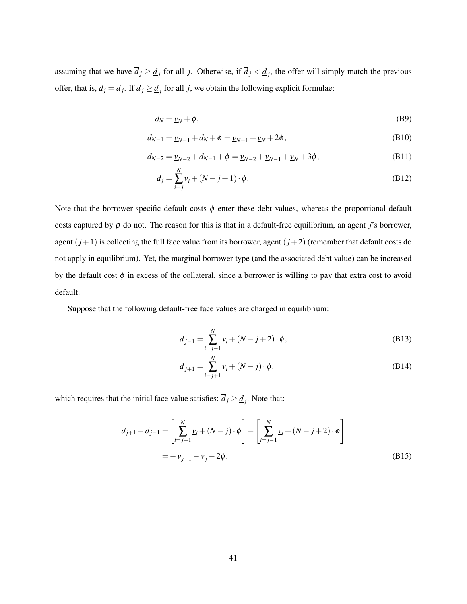assuming that we have  $\overline{d_j} \ge \underline{d_j}$  for all *j*. Otherwise, if  $\overline{d_j} < \underline{d_j}$ , the offer will simply match the previous offer, that is,  $d_j = \overline{d}_j$ . If  $\overline{d}_j \ge \underline{d}_j$  for all *j*, we obtain the following explicit formulae:

$$
d_N = \underline{v}_N + \phi, \tag{B9}
$$

$$
d_{N-1} = \underline{v}_{N-1} + d_N + \phi = \underline{v}_{N-1} + \underline{v}_N + 2\phi,
$$
 (B10)

$$
d_{N-2} = \underline{v}_{N-2} + d_{N-1} + \phi = \underline{v}_{N-2} + \underline{v}_{N-1} + \underline{v}_N + 3\phi,
$$
 (B11)

$$
d_j = \sum_{i=j}^{N} \underline{v}_i + (N - j + 1) \cdot \phi.
$$
 (B12)

Note that the borrower-specific default costs  $\phi$  enter these debt values, whereas the proportional default costs captured by  $\rho$  do not. The reason for this is that in a default-free equilibrium, an agent *j*'s borrower, agent  $(j+1)$  is collecting the full face value from its borrower, agent  $(j+2)$  (remember that default costs do not apply in equilibrium). Yet, the marginal borrower type (and the associated debt value) can be increased by the default cost  $\phi$  in excess of the collateral, since a borrower is willing to pay that extra cost to avoid default.

Suppose that the following default-free face values are charged in equilibrium:

$$
\underline{d}_{j-1} = \sum_{i=j-1}^{N} \underline{v}_i + (N-j+2) \cdot \phi,
$$
 (B13)

$$
\underline{d}_{j+1} = \sum_{i=j+1}^{N} \underline{v}_i + (N-j) \cdot \phi,
$$
 (B14)

which requires that the initial face value satisfies:  $d_j \geq \underline{d}_j$ . Note that:

$$
d_{j+1} - d_{j-1} = \left[ \sum_{i=j+1}^{N} \underline{v}_i + (N-j) \cdot \phi \right] - \left[ \sum_{i=j-1}^{N} \underline{v}_i + (N-j+2) \cdot \phi \right]
$$
  
=  $-\underline{v}_{j-1} - \underline{v}_j - 2\phi.$  (B15)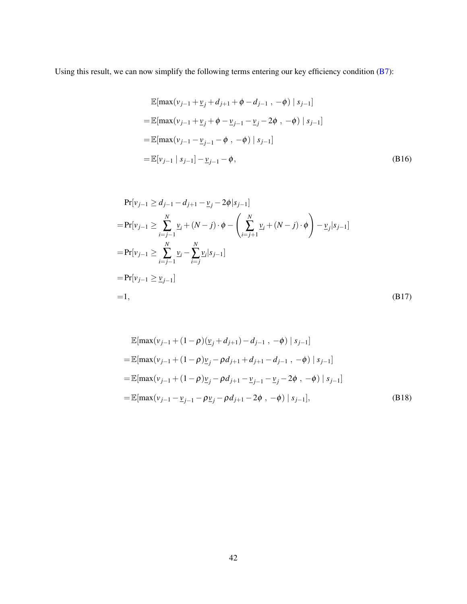Using this result, we can now simplify the following terms entering our key efficiency condition [\(B7\)](#page-40-0):

$$
\mathbb{E}[\max(v_{j-1} + \underline{v}_j + d_{j+1} + \phi - d_{j-1}, -\phi) | s_{j-1}]
$$
  
\n
$$
= \mathbb{E}[\max(v_{j-1} + \underline{v}_j + \phi - \underline{v}_{j-1} - \underline{v}_j - 2\phi, -\phi) | s_{j-1}]
$$
  
\n
$$
= \mathbb{E}[\max(v_{j-1} - \underline{v}_{j-1} - \phi, -\phi) | s_{j-1}]
$$
  
\n
$$
= \mathbb{E}[v_{j-1} | s_{j-1}] - \underline{v}_{j-1} - \phi,
$$
 (B16)

$$
\Pr[v_{j-1} \ge d_{j-1} - d_{j+1} - \underline{v}_j - 2\phi | s_{j-1}]
$$
\n
$$
= \Pr[v_{j-1} \ge \sum_{i=j-1}^{N} \underline{v}_i + (N-j) \cdot \phi - \left(\sum_{i=j+1}^{N} \underline{v}_i + (N-j) \cdot \phi\right) - \underline{v}_j | s_{j-1}]
$$
\n
$$
= \Pr[v_{j-1} \ge \sum_{i=j-1}^{N} \underline{v}_i - \sum_{i=j}^{N} \underline{v}_i | s_{j-1}]
$$
\n
$$
= \Pr[v_{j-1} \ge \underline{v}_{j-1}]
$$
\n
$$
= 1,
$$
\n(B17)

$$
\mathbb{E}[\max(v_{j-1} + (1 - \rho)(\underline{v}_j + d_{j+1}) - d_{j-1}, -\phi) | s_{j-1}]
$$
\n
$$
= \mathbb{E}[\max(v_{j-1} + (1 - \rho)\underline{v}_j - \rho d_{j+1} + d_{j+1} - d_{j-1}, -\phi) | s_{j-1}]
$$
\n
$$
= \mathbb{E}[\max(v_{j-1} + (1 - \rho)\underline{v}_j - \rho d_{j+1} - \underline{v}_{j-1} - \underline{v}_j - 2\phi, -\phi) | s_{j-1}]
$$
\n
$$
= \mathbb{E}[\max(v_{j-1} - \underline{v}_{j-1} - \rho \underline{v}_j - \rho d_{j+1} - 2\phi, -\phi) | s_{j-1}], \quad (B18)
$$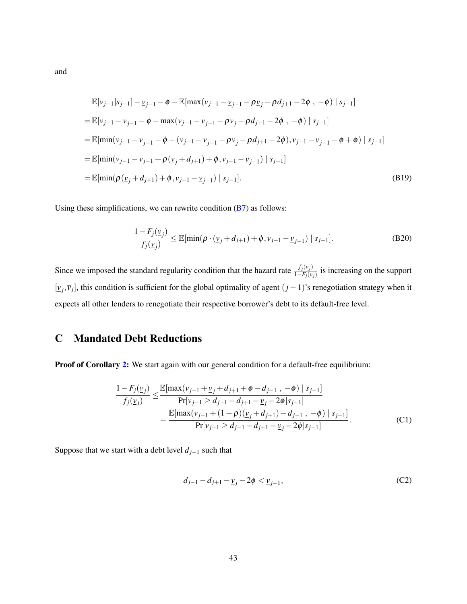$$
\mathbb{E}[v_{j-1}|s_{j-1}] - \mathbb{E}_{j-1} - \phi - \mathbb{E}[\max(v_{j-1} - \mathbb{E}_{j-1} - \rho \mathbb{E}_{j} - \rho d_{j+1} - 2\phi, -\phi) | s_{j-1}]
$$
\n
$$
= \mathbb{E}[v_{j-1} - \mathbb{E}_{j-1} - \phi - \max(v_{j-1} - \mathbb{E}_{j-1} - \rho \mathbb{E}_{j} - \rho d_{j+1} - 2\phi, -\phi) | s_{j-1}]
$$
\n
$$
= \mathbb{E}[\min(v_{j-1} - \mathbb{E}_{j-1} - \phi - (v_{j-1} - \mathbb{E}_{j-1} - \rho \mathbb{E}_{j} - \rho d_{j+1} - 2\phi), v_{j-1} - \mathbb{E}_{j-1} - \phi + \phi) | s_{j-1}]
$$
\n
$$
= \mathbb{E}[\min(v_{j-1} - v_{j-1} + \rho(\mathbb{E}_{j} + d_{j+1}) + \phi, v_{j-1} - \mathbb{E}_{j-1}) | s_{j-1}]
$$
\n
$$
= \mathbb{E}[\min(\rho(\mathbb{E}_{j} + d_{j+1}) + \phi, v_{j-1} - \mathbb{E}_{j-1}) | s_{j-1}]. \tag{B19}
$$

Using these simplifications, we can rewrite condition  $(B7)$  as follows:

$$
\frac{1 - F_j(\underline{v}_j)}{f_j(\underline{v}_j)} \le \mathbb{E}[\min(\rho \cdot (\underline{v}_j + d_{j+1}) + \phi, v_{j-1} - \underline{v}_{j-1}) | s_{j-1}].
$$
\n(B20)

Since we imposed the standard regularity condition that the hazard rate  $\frac{f_j(v_j)}{1-F_j(v_j)}$  is increasing on the support  $[\underline{v}_j, \overline{v}_j]$ , this condition is sufficient for the global optimality of agent  $(j-1)$ 's renegotiation strategy when it expects all other lenders to renegotiate their respective borrower's debt to its default-free level.

# C Mandated Debt Reductions

Proof of Corollary [2:](#page-27-0) We start again with our general condition for a default-free equilibrium:

$$
\frac{1 - F_j(\underline{v}_j)}{f_j(\underline{v}_j)} \le \frac{\mathbb{E}[\max(v_{j-1} + \underline{v}_j + d_{j+1} + \phi - d_{j-1}, -\phi) | s_{j-1}]}{\Pr[v_{j-1} \ge d_{j-1} - d_{j+1} - \underline{v}_j - 2\phi | s_{j-1}]} - \frac{\mathbb{E}[\max(v_{j-1} + (1-\rho)(\underline{v}_j + d_{j+1}) - d_{j-1}, -\phi) | s_{j-1}]}{\Pr[v_{j-1} \ge d_{j-1} - d_{j+1} - \underline{v}_j - 2\phi | s_{j-1}]}.
$$
\n(C1)

Suppose that we start with a debt level  $d_{j-1}$  such that

$$
d_{j-1} - d_{j+1} - \underline{v}_j - 2\phi < \underline{v}_{j-1},\tag{C2}
$$

43

and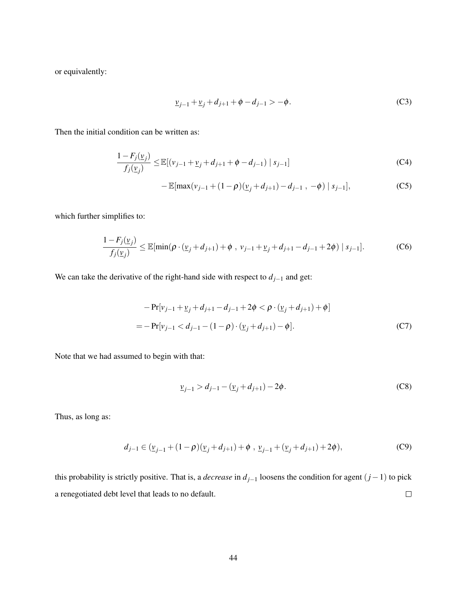or equivalently:

$$
\underline{v}_{j-1} + \underline{v}_j + d_{j+1} + \phi - d_{j-1} > -\phi. \tag{C3}
$$

Then the initial condition can be written as:

$$
\frac{1 - F_j(\underline{v}_j)}{f_j(\underline{v}_j)} \le \mathbb{E}[(v_{j-1} + \underline{v}_j + d_{j+1} + \phi - d_{j-1}) | s_{j-1}]
$$
\n(C4)

$$
-\mathbb{E}[\max(v_{j-1}+(1-\rho)(\underline{v}_j+d_{j+1})-d_{j-1},-\phi)|s_{j-1}],
$$
 (C5)

which further simplifies to:

$$
\frac{1 - F_j(\underline{v}_j)}{f_j(\underline{v}_j)} \le \mathbb{E}[\min(\rho \cdot (\underline{v}_j + d_{j+1}) + \phi \, , \, v_{j-1} + \underline{v}_j + d_{j+1} - d_{j-1} + 2\phi) \, | \, s_{j-1}]. \tag{C6}
$$

We can take the derivative of the right-hand side with respect to  $d_{j-1}$  and get:

$$
-\Pr[v_{j-1} + \underline{v}_j + d_{j+1} - d_{j-1} + 2\phi < \rho \cdot (\underline{v}_j + d_{j+1}) + \phi]
$$
\n
$$
= -\Pr[v_{j-1} < d_{j-1} - (1 - \rho) \cdot (\underline{v}_j + d_{j+1}) - \phi].\tag{C7}
$$

Note that we had assumed to begin with that:

$$
\underline{v}_{j-1} > d_{j-1} - (\underline{v}_j + d_{j+1}) - 2\phi. \tag{C8}
$$

Thus, as long as:

$$
d_{j-1} \in (\underline{v}_{j-1} + (1 - \rho)(\underline{v}_j + d_{j+1}) + \phi, \ \underline{v}_{j-1} + (\underline{v}_j + d_{j+1}) + 2\phi), \tag{C9}
$$

this probability is strictly positive. That is, a *decrease* in *dj*−<sup>1</sup> loosens the condition for agent (*j*−1) to pick  $\Box$ a renegotiated debt level that leads to no default.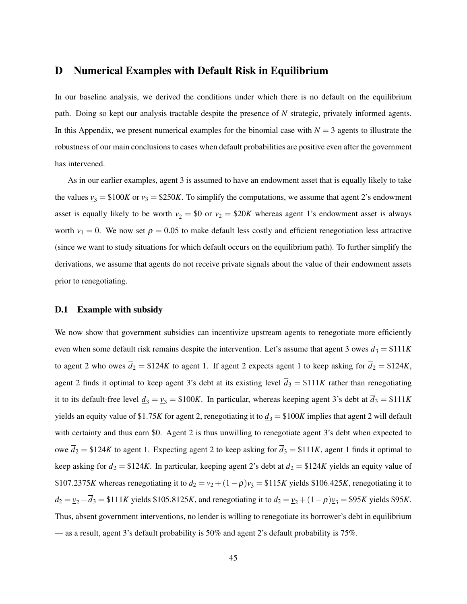### D Numerical Examples with Default Risk in Equilibrium

In our baseline analysis, we derived the conditions under which there is no default on the equilibrium path. Doing so kept our analysis tractable despite the presence of *N* strategic, privately informed agents. In this Appendix, we present numerical examples for the binomial case with  $N = 3$  agents to illustrate the robustness of our main conclusions to cases when default probabilities are positive even after the government has intervened.

As in our earlier examples, agent 3 is assumed to have an endowment asset that is equally likely to take the values  $v_3 = $100K$  or  $\bar{v}_3 = $250K$ . To simplify the computations, we assume that agent 2's endowment asset is equally likely to be worth  $v_2 = $0$  or  $\bar{v}_2 = $20K$  whereas agent 1's endowment asset is always worth  $v_1 = 0$ . We now set  $\rho = 0.05$  to make default less costly and efficient renegotiation less attractive (since we want to study situations for which default occurs on the equilibrium path). To further simplify the derivations, we assume that agents do not receive private signals about the value of their endowment assets prior to renegotiating.

#### D.1 Example with subsidy

We now show that government subsidies can incentivize upstream agents to renegotiate more efficiently even when some default risk remains despite the intervention. Let's assume that agent 3 owes  $\overline{d}_3 = \$111K$ to agent 2 who owes  $\overline{d}_2 = \$124K$  to agent 1. If agent 2 expects agent 1 to keep asking for  $\overline{d}_2 = \$124K$ , agent 2 finds it optimal to keep agent 3's debt at its existing level  $\bar{d}_3 = \$111K$  rather than renegotiating it to its default-free level  $\underline{d}_3 = \underline{v}_3 = \$100K$ . In particular, whereas keeping agent 3's debt at  $\overline{d}_3 = \$111K$ yields an equity value of \$1.75*K* for agent 2, renegotiating it to  $\underline{d}_3 = $100K$  implies that agent 2 will default with certainty and thus earn \$0. Agent 2 is thus unwilling to renegotiate agent 3's debt when expected to owe  $\overline{d}_2 = \$124K$  to agent 1. Expecting agent 2 to keep asking for  $\overline{d}_3 = \$111K$ , agent 1 finds it optimal to keep asking for  $\bar{d}_2 = \$124K$ . In particular, keeping agent 2's debt at  $\bar{d}_2 = \$124K$  yields an equity value of \$107.2375*K* whereas renegotiating it to  $d_2 = \overline{v}_2 + (1-\rho)y_3 = 115K$  yields \$106.425*K*, renegotiating it to  $d_2 = v_2 + \overline{d}_3 = $111K$  yields \$105.8125*K*, and renegotiating it to  $d_2 = v_2 + (1 - \rho)v_3 = $95K$  yields \$95*K*. Thus, absent government interventions, no lender is willing to renegotiate its borrower's debt in equilibrium — as a result, agent 3's default probability is 50% and agent 2's default probability is 75%.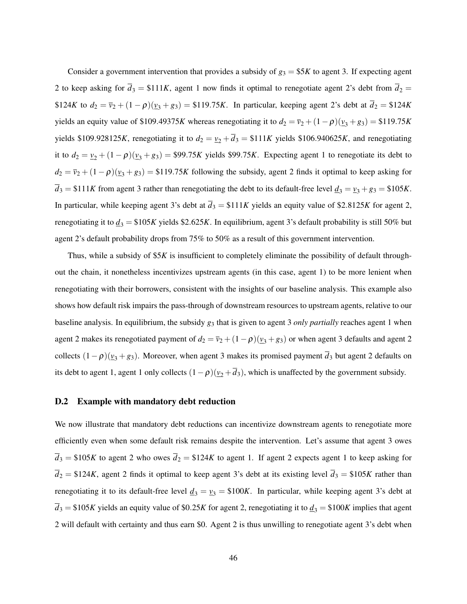Consider a government intervention that provides a subsidy of  $g_3 = $5K$  to agent 3. If expecting agent 2 to keep asking for  $\bar{d}_3 = \$111K$ , agent 1 now finds it optimal to renegotiate agent 2's debt from  $\bar{d}_2 =$ \$124*K* to  $d_2 = \bar{v}_2 + (1 - \rho)(\bar{v}_3 + \bar{g}_3) = 119.75K$ . In particular, keeping agent 2's debt at  $\bar{d}_2 = 124K$ yields an equity value of \$109.49375*K* whereas renegotiating it to  $d_2 = \overline{v}_2 + (1 - \rho)(\underline{v}_3 + \underline{g}_3) = $119.75K$ yields \$109.928125*K*, renegotiating it to  $d_2 = \underline{v}_2 + \overline{d}_3 = 111K$  yields \$106.940625*K*, and renegotiating it to  $d_2 = v_2 + (1 - \rho)(v_3 + g_3) = $99.75K$  yields \$99.75*K*. Expecting agent 1 to renegotiate its debt to  $d_2 = \overline{v}_2 + (1 - \rho)(\underline{v}_3 + \underline{g}_3) = $119.75K$  following the subsidy, agent 2 finds it optimal to keep asking for  $\overline{d}_3 = \$111K$  from agent 3 rather than renegotiating the debt to its default-free level  $\underline{d}_3 = \underline{v}_3 + \underline{g}_3 = \$105K$ . In particular, while keeping agent 3's debt at  $\overline{d}_3 = $111K$  yields an equity value of \$2.8125*K* for agent 2, renegotiating it to  $d_3 = $105K$  yields \$2.625*K*. In equilibrium, agent 3's default probability is still 50% but agent 2's default probability drops from 75% to 50% as a result of this government intervention.

Thus, while a subsidy of \$5*K* is insufficient to completely eliminate the possibility of default throughout the chain, it nonetheless incentivizes upstream agents (in this case, agent 1) to be more lenient when renegotiating with their borrowers, consistent with the insights of our baseline analysis. This example also shows how default risk impairs the pass-through of downstream resources to upstream agents, relative to our baseline analysis. In equilibrium, the subsidy *g*<sup>3</sup> that is given to agent 3 *only partially* reaches agent 1 when agent 2 makes its renegotiated payment of  $d_2 = \overline{v}_2 + (1-\rho)(\underline{v}_3 + \underline{g}_3)$  or when agent 3 defaults and agent 2 collects  $(1-\rho)(\nu_3 + \nu_3)$ . Moreover, when agent 3 makes its promised payment  $\overline{d}_3$  but agent 2 defaults on its debt to agent 1, agent 1 only collects  $(1 - \rho)(\underline{v}_2 + \overline{d}_3)$ , which is unaffected by the government subsidy.

#### D.2 Example with mandatory debt reduction

We now illustrate that mandatory debt reductions can incentivize downstream agents to renegotiate more efficiently even when some default risk remains despite the intervention. Let's assume that agent 3 owes  $\overline{d}_3$  = \$105*K* to agent 2 who owes  $\overline{d}_2$  = \$124*K* to agent 1. If agent 2 expects agent 1 to keep asking for  $\overline{d}_2 = $124K$ , agent 2 finds it optimal to keep agent 3's debt at its existing level  $\overline{d}_3 = $105K$  rather than renegotiating it to its default-free level  $\underline{d}_3 = \underline{v}_3 = \$100K$ . In particular, while keeping agent 3's debt at  $\overline{d}_3$  = \$105*K* yields an equity value of \$0.25*K* for agent 2, renegotiating it to  $\underline{d}_3$  = \$100*K* implies that agent 2 will default with certainty and thus earn \$0. Agent 2 is thus unwilling to renegotiate agent 3's debt when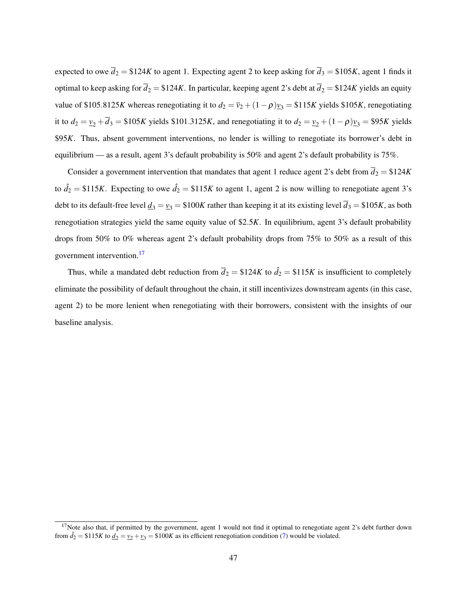expected to owe  $\overline{d}_2 = $124K$  to agent 1. Expecting agent 2 to keep asking for  $\overline{d}_3 = $105K$ , agent 1 finds it optimal to keep asking for  $\overline{d}_2 = $124K$ . In particular, keeping agent 2's debt at  $\overline{d}_2 = $124K$  yields an equity value of \$105.8125*K* whereas renegotiating it to  $d_2 = \overline{v}_2 + (1 - \rho)y_3 = 115K$  yields \$105*K*, renegotiating it to  $d_2 = v_2 + \bar{d}_3 = $105K$  yields \$101.3125*K*, and renegotiating it to  $d_2 = v_2 + (1 - \rho)v_3 = $95K$  yields \$95*K*. Thus, absent government interventions, no lender is willing to renegotiate its borrower's debt in equilibrium — as a result, agent 3's default probability is 50% and agent 2's default probability is 75%.

Consider a government intervention that mandates that agent 1 reduce agent 2's debt from  $\bar{d}_2 = \$124K$ to  $\hat{d}_2 = \$115K$ . Expecting to owe  $\hat{d}_2 = \$115K$  to agent 1, agent 2 is now willing to renegotiate agent 3's debt to its default-free level  $\underline{d}_3 = \underline{v}_3 = \$100K$  rather than keeping it at its existing level  $\overline{d}_3 = \$105K$ , as both renegotiation strategies yield the same equity value of \$2.5*K*. In equilibrium, agent 3's default probability drops from 50% to 0% whereas agent 2's default probability drops from 75% to 50% as a result of this government intervention.<sup>[17](#page-47-0)</sup>

Thus, while a mandated debt reduction from  $\bar{d}_2 = \$124K$  to  $\hat{d}_2 = \$115K$  is insufficient to completely eliminate the possibility of default throughout the chain, it still incentivizes downstream agents (in this case, agent 2) to be more lenient when renegotiating with their borrowers, consistent with the insights of our baseline analysis.

<span id="page-47-0"></span> $17$ Note also that, if permitted by the government, agent 1 would not find it optimal to renegotiate agent 2's debt further down from  $\hat{d}_2 = $115K$  to  $\underline{d}_2 = \underline{v}_2 + \underline{v}_3 = $100K$  as its efficient renegotiation condition [\(7\)](#page-15-2) would be violated.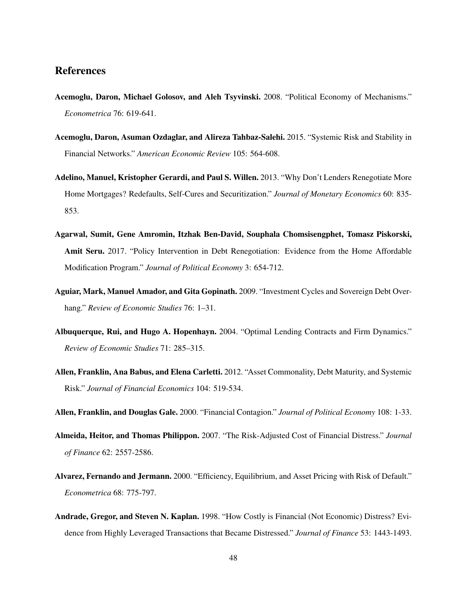### References

- Acemoglu, Daron, Michael Golosov, and Aleh Tsyvinski. 2008. "Political Economy of Mechanisms." *Econometrica* 76: 619-641.
- Acemoglu, Daron, Asuman Ozdaglar, and Alireza Tahbaz-Salehi. 2015. "Systemic Risk and Stability in Financial Networks." *American Economic Review* 105: 564-608.
- Adelino, Manuel, Kristopher Gerardi, and Paul S. Willen. 2013. "Why Don't Lenders Renegotiate More Home Mortgages? Redefaults, Self-Cures and Securitization." *Journal of Monetary Economics* 60: 835- 853.
- Agarwal, Sumit, Gene Amromin, Itzhak Ben-David, Souphala Chomsisengphet, Tomasz Piskorski, Amit Seru. 2017. "Policy Intervention in Debt Renegotiation: Evidence from the Home Affordable Modification Program." *Journal of Political Economy* 3: 654-712.
- Aguiar, Mark, Manuel Amador, and Gita Gopinath. 2009. "Investment Cycles and Sovereign Debt Overhang." *Review of Economic Studies* 76: 1–31.
- Albuquerque, Rui, and Hugo A. Hopenhayn. 2004. "Optimal Lending Contracts and Firm Dynamics." *Review of Economic Studies* 71: 285–315.
- Allen, Franklin, Ana Babus, and Elena Carletti. 2012. "Asset Commonality, Debt Maturity, and Systemic Risk." *Journal of Financial Economics* 104: 519-534.

Allen, Franklin, and Douglas Gale. 2000. "Financial Contagion." *Journal of Political Economy* 108: 1-33.

- Almeida, Heitor, and Thomas Philippon. 2007. "The Risk-Adjusted Cost of Financial Distress." *Journal of Finance* 62: 2557-2586.
- Alvarez, Fernando and Jermann. 2000. "Efficiency, Equilibrium, and Asset Pricing with Risk of Default." *Econometrica* 68: 775-797.
- Andrade, Gregor, and Steven N. Kaplan. 1998. "How Costly is Financial (Not Economic) Distress? Evidence from Highly Leveraged Transactions that Became Distressed." *Journal of Finance* 53: 1443-1493.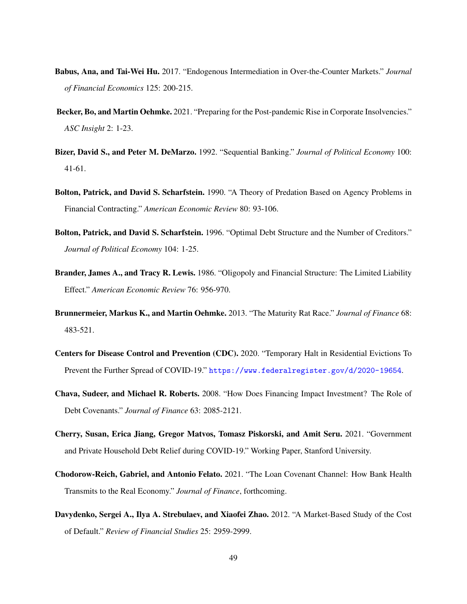- Babus, Ana, and Tai-Wei Hu. 2017. "Endogenous Intermediation in Over-the-Counter Markets." *Journal of Financial Economics* 125: 200-215.
- Becker, Bo, and Martin Oehmke. 2021. "Preparing for the Post-pandemic Rise in Corporate Insolvencies." *ASC Insight* 2: 1-23.
- Bizer, David S., and Peter M. DeMarzo. 1992. "Sequential Banking." *Journal of Political Economy* 100: 41-61.
- Bolton, Patrick, and David S. Scharfstein. 1990. "A Theory of Predation Based on Agency Problems in Financial Contracting." *American Economic Review* 80: 93-106.
- Bolton, Patrick, and David S. Scharfstein. 1996. "Optimal Debt Structure and the Number of Creditors." *Journal of Political Economy* 104: 1-25.
- Brander, James A., and Tracy R. Lewis. 1986. "Oligopoly and Financial Structure: The Limited Liability Effect." *American Economic Review* 76: 956-970.
- Brunnermeier, Markus K., and Martin Oehmke. 2013. "The Maturity Rat Race." *Journal of Finance* 68: 483-521.
- Centers for Disease Control and Prevention (CDC). 2020. "Temporary Halt in Residential Evictions To Prevent the Further Spread of COVID-19." <https://www.federalregister.gov/d/2020-19654>.
- Chava, Sudeer, and Michael R. Roberts. 2008. "How Does Financing Impact Investment? The Role of Debt Covenants." *Journal of Finance* 63: 2085-2121.
- Cherry, Susan, Erica Jiang, Gregor Matvos, Tomasz Piskorski, and Amit Seru. 2021. "Government and Private Household Debt Relief during COVID-19." Working Paper, Stanford University.
- Chodorow-Reich, Gabriel, and Antonio Felato. 2021. "The Loan Covenant Channel: How Bank Health Transmits to the Real Economy." *Journal of Finance*, forthcoming.
- Davydenko, Sergei A., Ilya A. Strebulaev, and Xiaofei Zhao. 2012. "A Market-Based Study of the Cost of Default." *Review of Financial Studies* 25: 2959-2999.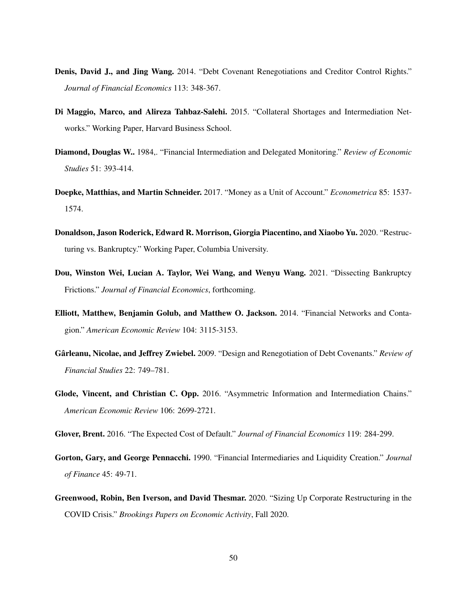- Denis, David J., and Jing Wang. 2014. "Debt Covenant Renegotiations and Creditor Control Rights." *Journal of Financial Economics* 113: 348-367.
- Di Maggio, Marco, and Alireza Tahbaz-Salehi. 2015. "Collateral Shortages and Intermediation Networks." Working Paper, Harvard Business School.
- Diamond, Douglas W.. 1984,. "Financial Intermediation and Delegated Monitoring." *Review of Economic Studies* 51: 393-414.
- Doepke, Matthias, and Martin Schneider. 2017. "Money as a Unit of Account." *Econometrica* 85: 1537- 1574.
- Donaldson, Jason Roderick, Edward R. Morrison, Giorgia Piacentino, and Xiaobo Yu. 2020. "Restructuring vs. Bankruptcy." Working Paper, Columbia University.
- Dou, Winston Wei, Lucian A. Taylor, Wei Wang, and Wenyu Wang. 2021. "Dissecting Bankruptcy Frictions." *Journal of Financial Economics*, forthcoming.
- Elliott, Matthew, Benjamin Golub, and Matthew O. Jackson. 2014. "Financial Networks and Contagion." *American Economic Review* 104: 3115-3153.
- Gârleanu, Nicolae, and Jeffrey Zwiebel. 2009. "Design and Renegotiation of Debt Covenants." *Review of Financial Studies* 22: 749–781.
- Glode, Vincent, and Christian C. Opp. 2016. "Asymmetric Information and Intermediation Chains." *American Economic Review* 106: 2699-2721.

Glover, Brent. 2016. "The Expected Cost of Default." *Journal of Financial Economics* 119: 284-299.

- Gorton, Gary, and George Pennacchi. 1990. "Financial Intermediaries and Liquidity Creation." *Journal of Finance* 45: 49-71.
- Greenwood, Robin, Ben Iverson, and David Thesmar. 2020. "Sizing Up Corporate Restructuring in the COVID Crisis." *Brookings Papers on Economic Activity*, Fall 2020.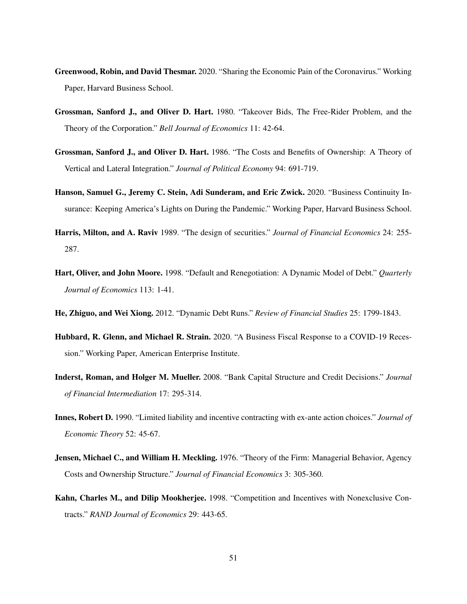- Greenwood, Robin, and David Thesmar. 2020. "Sharing the Economic Pain of the Coronavirus." Working Paper, Harvard Business School.
- Grossman, Sanford J., and Oliver D. Hart. 1980. "Takeover Bids, The Free-Rider Problem, and the Theory of the Corporation." *Bell Journal of Economics* 11: 42-64.
- Grossman, Sanford J., and Oliver D. Hart. 1986. "The Costs and Benefits of Ownership: A Theory of Vertical and Lateral Integration." *Journal of Political Economy* 94: 691-719.
- Hanson, Samuel G., Jeremy C. Stein, Adi Sunderam, and Eric Zwick. 2020. "Business Continuity Insurance: Keeping America's Lights on During the Pandemic." Working Paper, Harvard Business School.
- Harris, Milton, and A. Raviv 1989. "The design of securities." *Journal of Financial Economics* 24: 255- 287.
- Hart, Oliver, and John Moore. 1998. "Default and Renegotiation: A Dynamic Model of Debt." *Quarterly Journal of Economics* 113: 1-41.
- He, Zhiguo, and Wei Xiong. 2012. "Dynamic Debt Runs." *Review of Financial Studies* 25: 1799-1843.
- Hubbard, R. Glenn, and Michael R. Strain. 2020. "A Business Fiscal Response to a COVID-19 Recession." Working Paper, American Enterprise Institute.
- Inderst, Roman, and Holger M. Mueller. 2008. "Bank Capital Structure and Credit Decisions." *Journal of Financial Intermediation* 17: 295-314.
- Innes, Robert D. 1990. "Limited liability and incentive contracting with ex-ante action choices." *Journal of Economic Theory* 52: 45-67.
- Jensen, Michael C., and William H. Meckling. 1976. "Theory of the Firm: Managerial Behavior, Agency Costs and Ownership Structure." *Journal of Financial Economics* 3: 305-360.
- Kahn, Charles M., and Dilip Mookherjee. 1998. "Competition and Incentives with Nonexclusive Contracts." *RAND Journal of Economics* 29: 443-65.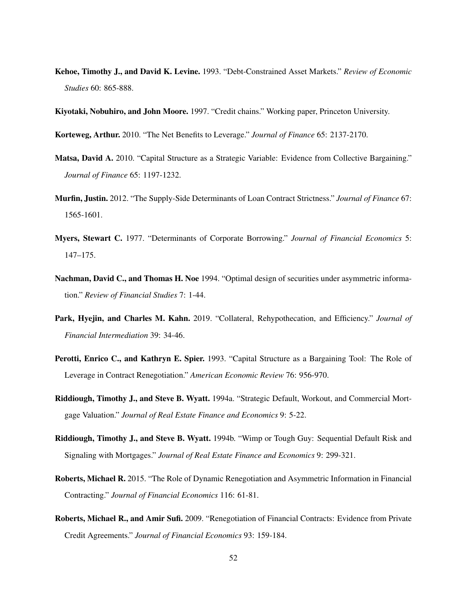- Kehoe, Timothy J., and David K. Levine. 1993. "Debt-Constrained Asset Markets." *Review of Economic Studies* 60: 865-888.
- Kiyotaki, Nobuhiro, and John Moore. 1997. "Credit chains." Working paper, Princeton University.
- Korteweg, Arthur. 2010. "The Net Benefits to Leverage." *Journal of Finance* 65: 2137-2170.
- Matsa, David A. 2010. "Capital Structure as a Strategic Variable: Evidence from Collective Bargaining." *Journal of Finance* 65: 1197-1232.
- Murfin, Justin. 2012. "The Supply-Side Determinants of Loan Contract Strictness." *Journal of Finance* 67: 1565-1601.
- Myers, Stewart C. 1977. "Determinants of Corporate Borrowing." *Journal of Financial Economics* 5: 147–175.
- Nachman, David C., and Thomas H. Noe 1994. "Optimal design of securities under asymmetric information." *Review of Financial Studies* 7: 1-44.
- Park, Hyejin, and Charles M. Kahn. 2019. "Collateral, Rehypothecation, and Efficiency." *Journal of Financial Intermediation* 39: 34-46.
- Perotti, Enrico C., and Kathryn E. Spier. 1993. "Capital Structure as a Bargaining Tool: The Role of Leverage in Contract Renegotiation." *American Economic Review* 76: 956-970.
- Riddiough, Timothy J., and Steve B. Wyatt. 1994a. "Strategic Default, Workout, and Commercial Mortgage Valuation." *Journal of Real Estate Finance and Economics* 9: 5-22.
- Riddiough, Timothy J., and Steve B. Wyatt. 1994b. "Wimp or Tough Guy: Sequential Default Risk and Signaling with Mortgages." *Journal of Real Estate Finance and Economics* 9: 299-321.
- Roberts, Michael R. 2015. "The Role of Dynamic Renegotiation and Asymmetric Information in Financial Contracting." *Journal of Financial Economics* 116: 61-81.
- Roberts, Michael R., and Amir Sufi. 2009. "Renegotiation of Financial Contracts: Evidence from Private Credit Agreements." *Journal of Financial Economics* 93: 159-184.